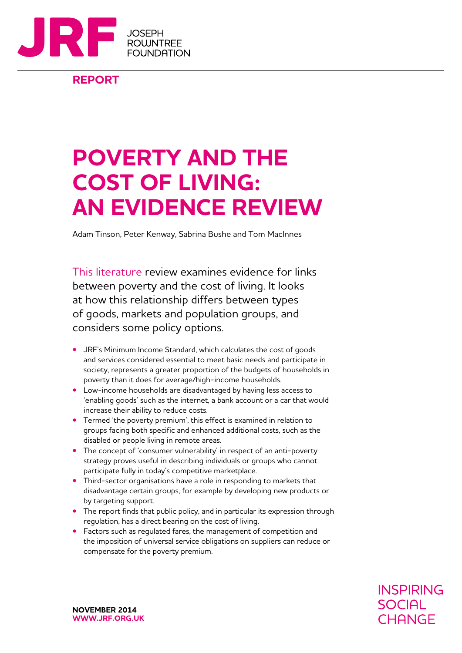

**REPORT**

## **Poverty and the cost of living: an evidence review**

Adam Tinson, Peter Kenway, Sabrina Bushe and Tom MacInnes

This literature review examines evidence for links between poverty and the cost of living. It looks at how this relationship differs between types of goods, markets and population groups, and considers some policy options.

- **•** JRF's Minimum Income Standard, which calculates the cost of goods and services considered essential to meet basic needs and participate in society, represents a greater proportion of the budgets of households in poverty than it does for average/high-income households.
- **•** Low-income households are disadvantaged by having less access to 'enabling goods' such as the internet, a bank account or a car that would increase their ability to reduce costs.
- **•** Termed 'the poverty premium', this effect is examined in relation to groups facing both specific and enhanced additional costs, such as the disabled or people living in remote areas.
- **•** The concept of 'consumer vulnerability' in respect of an anti-poverty strategy proves useful in describing individuals or groups who cannot participate fully in today's competitive marketplace.
- **•** Third-sector organisations have a role in responding to markets that disadvantage certain groups, for example by developing new products or by targeting support.
- **•** The report finds that public policy, and in particular its expression through regulation, has a direct bearing on the cost of living.
- **•** Factors such as regulated fares, the management of competition and the imposition of universal service obligations on suppliers can reduce or compensate for the poverty premium.

**November 2014 WWW.JRF.ORG.UK** **INSPIRING SOCIAL** CHANGE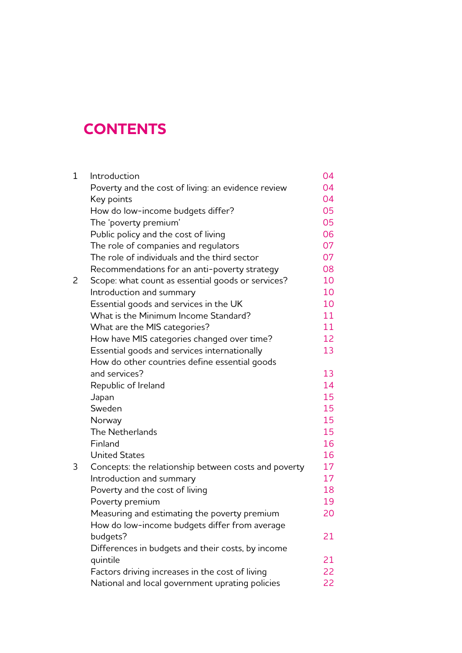## **Contents**

| $\mathbf 1$ | Introduction                                         | 04 |
|-------------|------------------------------------------------------|----|
|             | Poverty and the cost of living: an evidence review   | 04 |
|             | Key points                                           | 04 |
|             | How do low-income budgets differ?                    | 05 |
|             | The 'poverty premium'                                | 05 |
|             | Public policy and the cost of living                 | 06 |
|             | The role of companies and regulators                 | 07 |
|             | The role of individuals and the third sector         | 07 |
|             | Recommendations for an anti-poverty strategy         | 08 |
| 2           | Scope: what count as essential goods or services?    | 10 |
|             | Introduction and summary                             | 10 |
|             | Essential goods and services in the UK               | 10 |
|             | What is the Minimum Income Standard?                 | 11 |
|             | What are the MIS categories?                         | 11 |
|             | How have MIS categories changed over time?           | 12 |
|             | Essential goods and services internationally         | 13 |
|             | How do other countries define essential goods        |    |
|             | and services?                                        | 13 |
|             | Republic of Ireland                                  | 14 |
|             | Japan                                                | 15 |
|             | Sweden                                               | 15 |
|             | Norway                                               | 15 |
|             | The Netherlands                                      | 15 |
|             | Finland                                              | 16 |
|             | <b>United States</b>                                 | 16 |
| 3           | Concepts: the relationship between costs and poverty | 17 |
|             | Introduction and summary                             | 17 |
|             | Poverty and the cost of living                       | 18 |
|             | Poverty premium                                      | 19 |
|             | Measuring and estimating the poverty premium         | 20 |
|             | How do low-income budgets differ from average        |    |
|             | budgets?                                             | 21 |
|             | Differences in budgets and their costs, by income    |    |
|             | quintile                                             | 21 |
|             | Factors driving increases in the cost of living      | 22 |
|             | National and local government uprating policies      | 22 |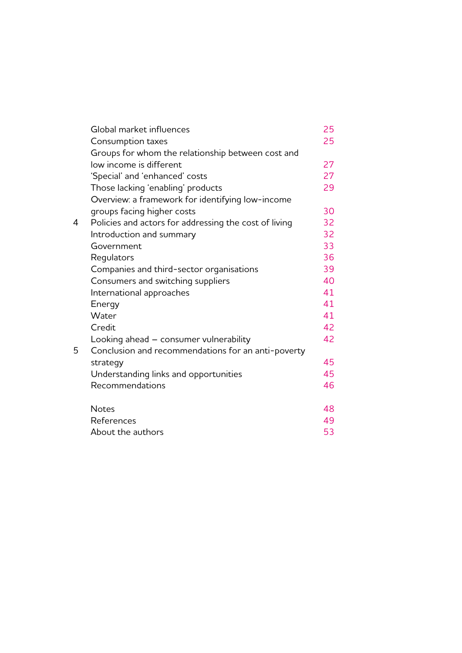|   | Global market influences                              | 25 |
|---|-------------------------------------------------------|----|
|   | Consumption taxes                                     | 25 |
|   | Groups for whom the relationship between cost and     |    |
|   | low income is different                               | 27 |
|   | 'Special' and 'enhanced' costs                        | 27 |
|   | Those lacking 'enabling' products                     | 29 |
|   | Overview: a framework for identifying low-income      |    |
|   | groups facing higher costs                            | 30 |
| 4 | Policies and actors for addressing the cost of living | 32 |
|   | Introduction and summary                              | 32 |
|   | Government                                            | 33 |
|   | Regulators                                            | 36 |
|   | Companies and third-sector organisations              | 39 |
|   | Consumers and switching suppliers                     | 40 |
|   | International approaches                              | 41 |
|   | Energy                                                | 41 |
|   | Water                                                 | 41 |
|   | Credit                                                | 42 |
|   | Looking ahead - consumer vulnerability                | 42 |
| 5 | Conclusion and recommendations for an anti-poverty    |    |
|   | strategy                                              | 45 |
|   | Understanding links and opportunities                 | 45 |
|   | Recommendations                                       | 46 |
|   |                                                       |    |
|   | <b>Notes</b>                                          | 48 |
|   | References                                            | 49 |
|   | About the authors                                     | 53 |
|   |                                                       |    |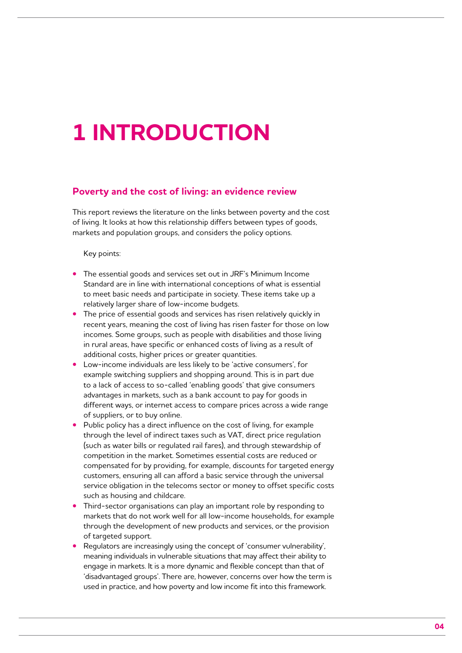# **1 Introduction**

### **Poverty and the cost of living: an evidence review**

This report reviews the literature on the links between poverty and the cost of living. It looks at how this relationship differs between types of goods, markets and population groups, and considers the policy options.

Key points:

- **•** The essential goods and services set out in JRF's Minimum Income Standard are in line with international conceptions of what is essential to meet basic needs and participate in society. These items take up a relatively larger share of low-income budgets.
- **•** The price of essential goods and services has risen relatively quickly in recent years, meaning the cost of living has risen faster for those on low incomes. Some groups, such as people with disabilities and those living in rural areas, have specific or enhanced costs of living as a result of additional costs, higher prices or greater quantities.
- **•** Low-income individuals are less likely to be 'active consumers', for example switching suppliers and shopping around. This is in part due to a lack of access to so-called 'enabling goods' that give consumers advantages in markets, such as a bank account to pay for goods in different ways, or internet access to compare prices across a wide range of suppliers, or to buy online.
- **•** Public policy has a direct influence on the cost of living, for example through the level of indirect taxes such as VAT, direct price regulation (such as water bills or regulated rail fares), and through stewardship of competition in the market. Sometimes essential costs are reduced or compensated for by providing, for example, discounts for targeted energy customers, ensuring all can afford a basic service through the universal service obligation in the telecoms sector or money to offset specific costs such as housing and childcare.
- **•** Third-sector organisations can play an important role by responding to markets that do not work well for all low-income households, for example through the development of new products and services, or the provision of targeted support.
- **•** Regulators are increasingly using the concept of 'consumer vulnerability', meaning individuals in vulnerable situations that may affect their ability to engage in markets. It is a more dynamic and flexible concept than that of 'disadvantaged groups'. There are, however, concerns over how the term is used in practice, and how poverty and low income fit into this framework.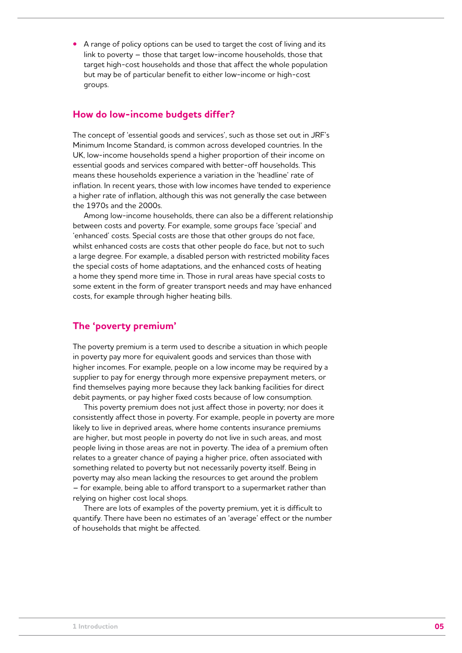**•** A range of policy options can be used to target the cost of living and its link to poverty – those that target low-income households, those that target high-cost households and those that affect the whole population but may be of particular benefit to either low-income or high-cost groups.

## **How do low-income budgets differ?**

The concept of 'essential goods and services', such as those set out in JRF's Minimum Income Standard, is common across developed countries. In the UK, low-income households spend a higher proportion of their income on essential goods and services compared with better-off households. This means these households experience a variation in the 'headline' rate of inflation. In recent years, those with low incomes have tended to experience a higher rate of inflation, although this was not generally the case between the 1970s and the 2000s.

Among low-income households, there can also be a different relationship between costs and poverty. For example, some groups face 'special' and 'enhanced' costs. Special costs are those that other groups do not face, whilst enhanced costs are costs that other people do face, but not to such a large degree. For example, a disabled person with restricted mobility faces the special costs of home adaptations, and the enhanced costs of heating a home they spend more time in. Those in rural areas have special costs to some extent in the form of greater transport needs and may have enhanced costs, for example through higher heating bills.

## **The 'poverty premium'**

The poverty premium is a term used to describe a situation in which people in poverty pay more for equivalent goods and services than those with higher incomes. For example, people on a low income may be required by a supplier to pay for energy through more expensive prepayment meters, or find themselves paying more because they lack banking facilities for direct debit payments, or pay higher fixed costs because of low consumption.

This poverty premium does not just affect those in poverty; nor does it consistently affect those in poverty. For example, people in poverty are more likely to live in deprived areas, where home contents insurance premiums are higher, but most people in poverty do not live in such areas, and most people living in those areas are not in poverty. The idea of a premium often relates to a greater chance of paying a higher price, often associated with something related to poverty but not necessarily poverty itself. Being in poverty may also mean lacking the resources to get around the problem – for example, being able to afford transport to a supermarket rather than relying on higher cost local shops.

There are lots of examples of the poverty premium, yet it is difficult to quantify. There have been no estimates of an 'average' effect or the number of households that might be affected.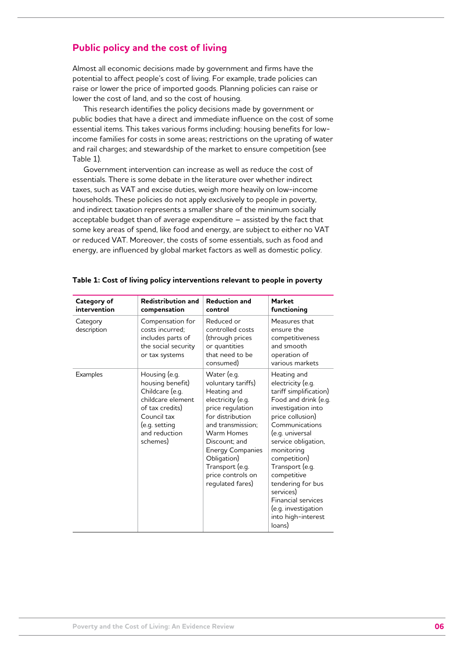## **Public policy and the cost of living**

Almost all economic decisions made by government and firms have the potential to affect people's cost of living. For example, trade policies can raise or lower the price of imported goods. Planning policies can raise or lower the cost of land, and so the cost of housing.

This research identifies the policy decisions made by government or public bodies that have a direct and immediate influence on the cost of some essential items. This takes various forms including: housing benefits for lowincome families for costs in some areas; restrictions on the uprating of water and rail charges; and stewardship of the market to ensure competition (see Table 1).

Government intervention can increase as well as reduce the cost of essentials. There is some debate in the literature over whether indirect taxes, such as VAT and excise duties, weigh more heavily on low-income households. These policies do not apply exclusively to people in poverty, and indirect taxation represents a smaller share of the minimum socially acceptable budget than of average expenditure – assisted by the fact that some key areas of spend, like food and energy, are subject to either no VAT or reduced VAT. Moreover, the costs of some essentials, such as food and energy, are influenced by global market factors as well as domestic policy.

| Category of<br>intervention | <b>Redistribution and</b><br>compensation                                                                                                                 | <b>Reduction and</b><br>control                                                                                                                                                                                                                                         | <b>Market</b><br>functioning                                                                                                                                                                                                                                                                                                                                                   |
|-----------------------------|-----------------------------------------------------------------------------------------------------------------------------------------------------------|-------------------------------------------------------------------------------------------------------------------------------------------------------------------------------------------------------------------------------------------------------------------------|--------------------------------------------------------------------------------------------------------------------------------------------------------------------------------------------------------------------------------------------------------------------------------------------------------------------------------------------------------------------------------|
| Category<br>description     | Compensation for<br>costs incurred:<br>includes parts of<br>the social security<br>or tax systems                                                         | Reduced or<br>controlled costs<br>(through prices<br>or quantities<br>that need to be<br>consumed)                                                                                                                                                                      | Measures that<br>ensure the<br>competitiveness<br>and smooth<br>operation of<br>various markets                                                                                                                                                                                                                                                                                |
| <b>Examples</b>             | Housing (e.g.<br>housing benefit)<br>Childcare (e.g.<br>childcare element<br>of tax credits)<br>Council tax<br>(e.g. setting<br>and reduction<br>schemes) | Water (e.g.<br>voluntary tariffs)<br>Heating and<br>electricity (e.g.<br>price regulation<br>for distribution<br>and transmission;<br>Warm Homes<br>Discount: and<br><b>Energy Companies</b><br>Obligation)<br>Transport (e.g.<br>price controls on<br>regulated fares) | Heating and<br>electricity (e.g.<br>tariff simplification)<br>Food and drink (e.g.<br>investigation into<br>price collusion)<br>Communications<br>(e.g. universal<br>service obligation,<br>monitoring<br>competition)<br>Transport (e.g.<br>competitive<br>tendering for bus<br>services)<br><b>Financial services</b><br>(e.g. investigation<br>into high-interest<br>loans) |

| Table 1: Cost of living policy interventions relevant to people in poverty |  |  |  |  |  |
|----------------------------------------------------------------------------|--|--|--|--|--|
|----------------------------------------------------------------------------|--|--|--|--|--|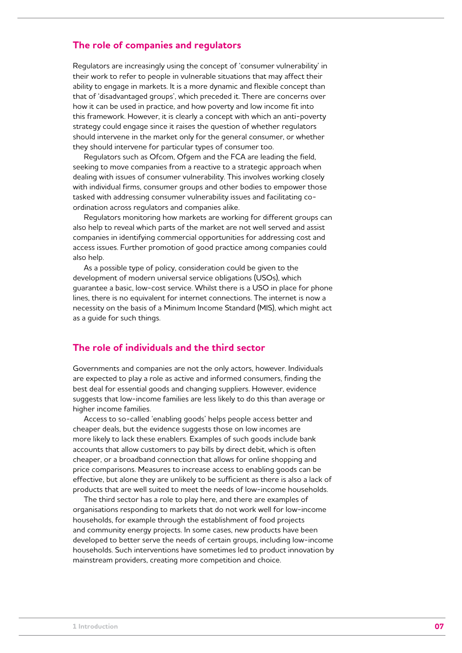## **The role of companies and regulators**

Regulators are increasingly using the concept of 'consumer vulnerability' in their work to refer to people in vulnerable situations that may affect their ability to engage in markets. It is a more dynamic and flexible concept than that of 'disadvantaged groups', which preceded it. There are concerns over how it can be used in practice, and how poverty and low income fit into this framework. However, it is clearly a concept with which an anti-poverty strategy could engage since it raises the question of whether regulators should intervene in the market only for the general consumer, or whether they should intervene for particular types of consumer too.

Regulators such as Ofcom, Ofgem and the FCA are leading the field, seeking to move companies from a reactive to a strategic approach when dealing with issues of consumer vulnerability. This involves working closely with individual firms, consumer groups and other bodies to empower those tasked with addressing consumer vulnerability issues and facilitating coordination across regulators and companies alike.

Regulators monitoring how markets are working for different groups can also help to reveal which parts of the market are not well served and assist companies in identifying commercial opportunities for addressing cost and access issues. Further promotion of good practice among companies could also help.

As a possible type of policy, consideration could be given to the development of modern universal service obligations (USOs), which guarantee a basic, low-cost service. Whilst there is a USO in place for phone lines, there is no equivalent for internet connections. The internet is now a necessity on the basis of a Minimum Income Standard (MIS), which might act as a guide for such things.

## **The role of individuals and the third sector**

Governments and companies are not the only actors, however. Individuals are expected to play a role as active and informed consumers, finding the best deal for essential goods and changing suppliers. However, evidence suggests that low-income families are less likely to do this than average or higher income families.

Access to so-called 'enabling goods' helps people access better and cheaper deals, but the evidence suggests those on low incomes are more likely to lack these enablers. Examples of such goods include bank accounts that allow customers to pay bills by direct debit, which is often cheaper, or a broadband connection that allows for online shopping and price comparisons. Measures to increase access to enabling goods can be effective, but alone they are unlikely to be sufficient as there is also a lack of products that are well suited to meet the needs of low-income households.

The third sector has a role to play here, and there are examples of organisations responding to markets that do not work well for low-income households, for example through the establishment of food projects and community energy projects. In some cases, new products have been developed to better serve the needs of certain groups, including low-income households. Such interventions have sometimes led to product innovation by mainstream providers, creating more competition and choice.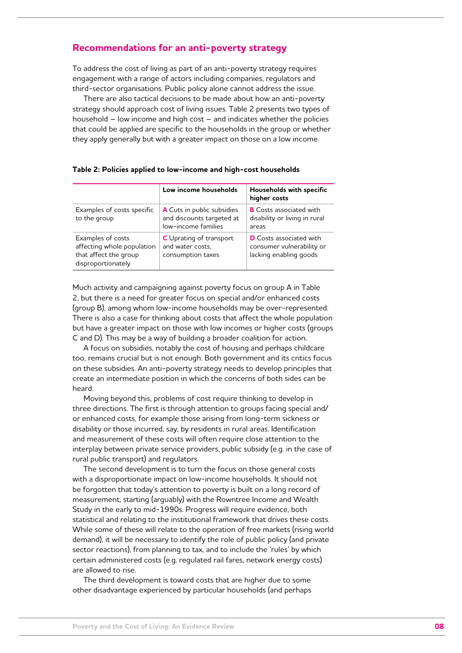## **Recommendations for an anti-poverty strategy**

To address the cost of living as part of an anti-poverty strategy requires engagement with a range of actors including companies, regulators and third-sector organisations. Public policy alone cannot address the issue.

There are also tactical decisions to be made about how an anti-poverty strategy should approach cost of living issues. Table 2 presents two types of household – low income and high cost – and indicates whether the policies that could be applied are specific to the households in the group or whether they apply generally but with a greater impact on those on a low income.

|                                                                                                | Low income households                                                          | Households with specific<br>higher costs                                              |
|------------------------------------------------------------------------------------------------|--------------------------------------------------------------------------------|---------------------------------------------------------------------------------------|
| Examples of costs specific<br>to the group                                                     | A Cuts in public subsidies<br>and discounts targeted at<br>low-income families | <b>B</b> Costs associated with<br>disability or living in rural<br>areas              |
| Examples of costs<br>affecting whole population<br>that affect the group<br>disproportionately | <b>C</b> Uprating of transport<br>and water costs.<br>consumption taxes        | <b>D</b> Costs associated with<br>consumer vulnerability or<br>lacking enabling goods |

|  |  |  |  | Table 2: Policies applied to low-income and high-cost households |
|--|--|--|--|------------------------------------------------------------------|
|  |  |  |  |                                                                  |

Much activity and campaigning against poverty focus on group A in Table 2, but there is a need for greater focus on special and/or enhanced costs (group B), among whom low-income households may be over-represented. There is also a case for thinking about costs that affect the whole population but have a greater impact on those with low incomes or higher costs (groups C and D). This may be a way of building a broader coalition for action.

A focus on subsidies, notably the cost of housing and perhaps childcare too, remains crucial but is not enough. Both government and its critics focus on these subsidies. An anti-poverty strategy needs to develop principles that create an intermediate position in which the concerns of both sides can be heard.

Moving beyond this, problems of cost require thinking to develop in three directions. The first is through attention to groups facing special and/ or enhanced costs, for example those arising from long-term sickness or disability or those incurred, say, by residents in rural areas. Identification and measurement of these costs will often require close attention to the interplay between private service providers, public subsidy (e.g. in the case of rural public transport) and regulators.

The second development is to turn the focus on those general costs with a disproportionate impact on low-income households. It should not be forgotten that today's attention to poverty is built on a long record of measurement, starting (arguably) with the Rowntree Income and Wealth Study in the early to mid-1990s. Progress will require evidence, both statistical and relating to the institutional framework that drives these costs. While some of these will relate to the operation of free markets (rising world demand), it will be necessary to identify the role of public policy (and private sector reactions), from planning to tax, and to include the 'rules' by which certain administered costs (e.g. regulated rail fares, network energy costs) are allowed to rise.

The third development is toward costs that are higher due to some other disadvantage experienced by particular households (and perhaps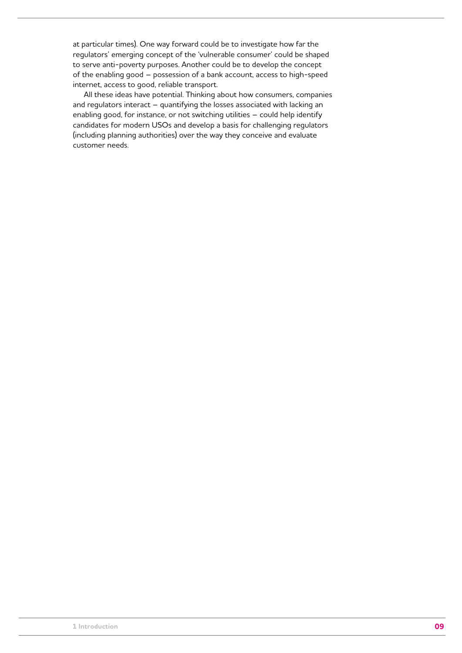at particular times). One way forward could be to investigate how far the regulators' emerging concept of the 'vulnerable consumer' could be shaped to serve anti-poverty purposes. Another could be to develop the concept of the enabling good – possession of a bank account, access to high-speed internet, access to good, reliable transport.

All these ideas have potential. Thinking about how consumers, companies and regulators interact – quantifying the losses associated with lacking an enabling good, for instance, or not switching utilities – could help identify candidates for modern USOs and develop a basis for challenging regulators (including planning authorities) over the way they conceive and evaluate customer needs.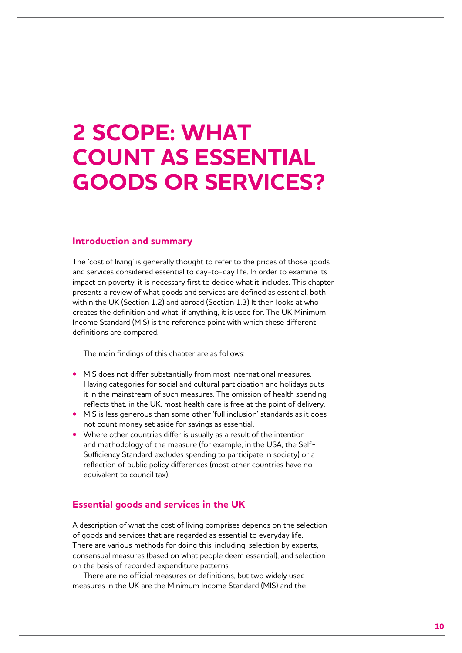## **2 Scope: what count as essential goods or services?**

### **Introduction and summary**

The 'cost of living' is generally thought to refer to the prices of those goods and services considered essential to day-to-day life. In order to examine its impact on poverty, it is necessary first to decide what it includes. This chapter presents a review of what goods and services are defined as essential, both within the UK (Section 1.2) and abroad (Section 1.3) It then looks at who creates the definition and what, if anything, it is used for. The UK Minimum Income Standard (MIS) is the reference point with which these different definitions are compared.

The main findings of this chapter are as follows:

- **•** MIS does not differ substantially from most international measures. Having categories for social and cultural participation and holidays puts it in the mainstream of such measures. The omission of health spending reflects that, in the UK, most health care is free at the point of delivery.
- **•** MIS is less generous than some other 'full inclusion' standards as it does not count money set aside for savings as essential.
- **•** Where other countries differ is usually as a result of the intention and methodology of the measure (for example, in the USA, the Self-Sufficiency Standard excludes spending to participate in society) or a reflection of public policy differences (most other countries have no equivalent to council tax).

## **Essential goods and services in the UK**

A description of what the cost of living comprises depends on the selection of goods and services that are regarded as essential to everyday life. There are various methods for doing this, including: selection by experts, consensual measures (based on what people deem essential), and selection on the basis of recorded expenditure patterns.

There are no official measures or definitions, but two widely used measures in the UK are the Minimum Income Standard (MIS) and the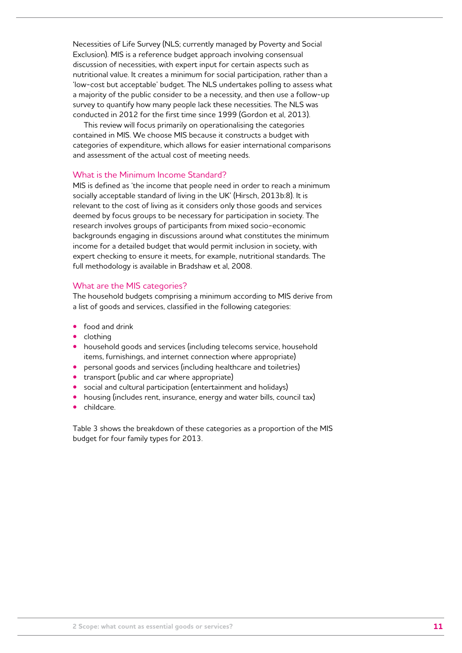Necessities of Life Survey (NLS; currently managed by Poverty and Social Exclusion). MIS is a reference budget approach involving consensual discussion of necessities, with expert input for certain aspects such as nutritional value. It creates a minimum for social participation, rather than a 'low-cost but acceptable' budget. The NLS undertakes polling to assess what a majority of the public consider to be a necessity, and then use a follow-up survey to quantify how many people lack these necessities. The NLS was conducted in 2012 for the first time since 1999 (Gordon et al, 2013).

This review will focus primarily on operationalising the categories contained in MIS. We choose MIS because it constructs a budget with categories of expenditure, which allows for easier international comparisons and assessment of the actual cost of meeting needs.

### What is the Minimum Income Standard?

MIS is defined as 'the income that people need in order to reach a minimum socially acceptable standard of living in the UK' (Hirsch, 2013b:8). It is relevant to the cost of living as it considers only those goods and services deemed by focus groups to be necessary for participation in society. The research involves groups of participants from mixed socio-economic backgrounds engaging in discussions around what constitutes the minimum income for a detailed budget that would permit inclusion in society, with expert checking to ensure it meets, for example, nutritional standards. The full methodology is available in Bradshaw et al, 2008.

#### What are the MIS categories?

The household budgets comprising a minimum according to MIS derive from a list of goods and services, classified in the following categories:

- **•** food and drink
- **•** clothing
- **•** household goods and services (including telecoms service, household items, furnishings, and internet connection where appropriate)
- **•** personal goods and services (including healthcare and toiletries)
- **•** transport (public and car where appropriate)
- **•** social and cultural participation (entertainment and holidays)
- **•** housing (includes rent, insurance, energy and water bills, council tax)
- **•** childcare.

Table 3 shows the breakdown of these categories as a proportion of the MIS budget for four family types for 2013.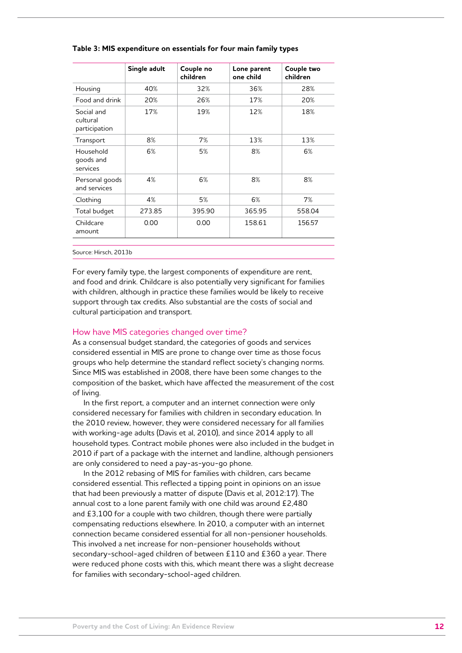|                                         | Single adult | Couple no<br>children | Lone parent<br>one child | Couple two<br>children |
|-----------------------------------------|--------------|-----------------------|--------------------------|------------------------|
| Housing                                 | 40%          | 32%                   | 36%                      | 28%                    |
| Food and drink                          | 20%          | 26%                   | 17%                      | 20%                    |
| Social and<br>cultural<br>participation | 17%          | 19%                   | 12%                      | 18%                    |
| Transport                               | 8%           | 7%                    | 13%                      | 13%                    |
| Household<br>goods and<br>services      | 6%           | 5%                    | 8%                       | 6%                     |
| Personal goods<br>and services          | 4%           | 6%                    | 8%                       | 8%                     |
| Clothing                                | 4%           | 5%                    | 6%                       | 7%                     |
| Total budget                            | 273.85       | 395.90                | 365.95                   | 558.04                 |
| Childcare<br>amount                     | 0.00         | 0.00                  | 158.61                   | 156.57                 |

#### **Table 3: MIS expenditure on essentials for four main family types**

Source: Hirsch, 2013b

For every family type, the largest components of expenditure are rent, and food and drink. Childcare is also potentially very significant for families with children, although in practice these families would be likely to receive support through tax credits. Also substantial are the costs of social and cultural participation and transport.

#### How have MIS categories changed over time?

As a consensual budget standard, the categories of goods and services considered essential in MIS are prone to change over time as those focus groups who help determine the standard reflect society's changing norms. Since MIS was established in 2008, there have been some changes to the composition of the basket, which have affected the measurement of the cost of living.

In the first report, a computer and an internet connection were only considered necessary for families with children in secondary education. In the 2010 review, however, they were considered necessary for all families with working-age adults (Davis et al, 2010), and since 2014 apply to all household types. Contract mobile phones were also included in the budget in 2010 if part of a package with the internet and landline, although pensioners are only considered to need a pay-as-you-go phone.

In the 2012 rebasing of MIS for families with children, cars became considered essential. This reflected a tipping point in opinions on an issue that had been previously a matter of dispute (Davis et al, 2012:17). The annual cost to a lone parent family with one child was around £2,480 and £3,100 for a couple with two children, though there were partially compensating reductions elsewhere. In 2010, a computer with an internet connection became considered essential for all non-pensioner households. This involved a net increase for non-pensioner households without secondary-school-aged children of between £110 and £360 a year. There were reduced phone costs with this, which meant there was a slight decrease for families with secondary-school-aged children.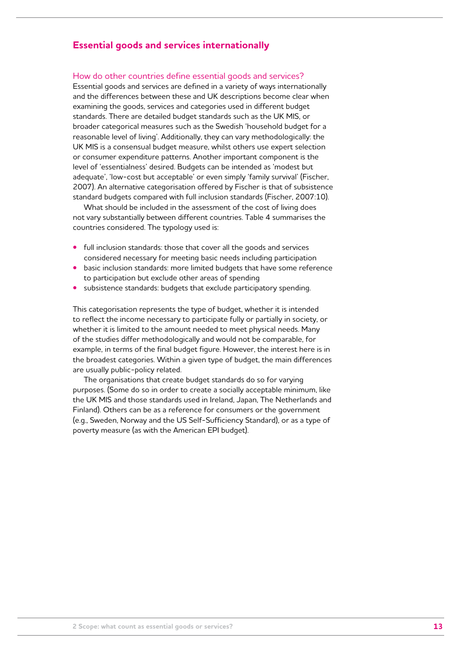## **Essential goods and services internationally**

How do other countries define essential goods and services?

Essential goods and services are defined in a variety of ways internationally and the differences between these and UK descriptions become clear when examining the goods, services and categories used in different budget standards. There are detailed budget standards such as the UK MIS, or broader categorical measures such as the Swedish 'household budget for a reasonable level of living'. Additionally, they can vary methodologically: the UK MIS is a consensual budget measure, whilst others use expert selection or consumer expenditure patterns. Another important component is the level of 'essentialness' desired. Budgets can be intended as 'modest but adequate', 'low-cost but acceptable' or even simply 'family survival' (Fischer, 2007). An alternative categorisation offered by Fischer is that of subsistence standard budgets compared with full inclusion standards (Fischer, 2007:10).

What should be included in the assessment of the cost of living does not vary substantially between different countries. Table 4 summarises the countries considered. The typology used is:

- **•** full inclusion standards: those that cover all the goods and services considered necessary for meeting basic needs including participation
- **•** basic inclusion standards: more limited budgets that have some reference to participation but exclude other areas of spending
- **•** subsistence standards: budgets that exclude participatory spending.

This categorisation represents the type of budget, whether it is intended to reflect the income necessary to participate fully or partially in society, or whether it is limited to the amount needed to meet physical needs. Many of the studies differ methodologically and would not be comparable, for example, in terms of the final budget figure. However, the interest here is in the broadest categories. Within a given type of budget, the main differences are usually public-policy related.

The organisations that create budget standards do so for varying purposes. (Some do so in order to create a socially acceptable minimum, like the UK MIS and those standards used in Ireland, Japan, The Netherlands and Finland). Others can be as a reference for consumers or the government (e.g., Sweden, Norway and the US Self-Sufficiency Standard), or as a type of poverty measure (as with the American EPI budget).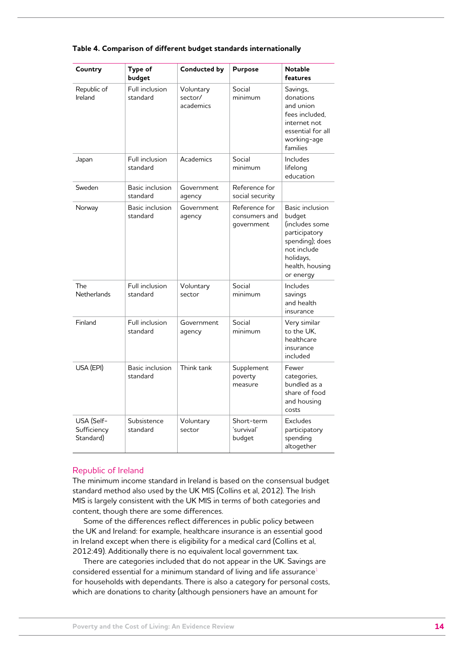| Country                                | Type of<br>budget           | <b>Conducted by</b>               | <b>Purpose</b>                               | <b>Notable</b><br>features                                                                                                                  |
|----------------------------------------|-----------------------------|-----------------------------------|----------------------------------------------|---------------------------------------------------------------------------------------------------------------------------------------------|
| Republic of<br>Ireland                 | Full inclusion<br>standard  | Voluntary<br>sector/<br>academics | Social<br>minimum                            | Savings,<br>donations<br>and union<br>fees included.<br>internet not<br>essential for all<br>working-age<br>families                        |
| Japan                                  | Full inclusion<br>standard  | Academics                         | Social<br>minimum                            | Includes<br>lifelong<br>education                                                                                                           |
| Sweden                                 | Basic inclusion<br>standard | Government<br>agency              | Reference for<br>social security             |                                                                                                                                             |
| Norway                                 | Basic inclusion<br>standard | Government<br>agency              | Reference for<br>consumers and<br>qovernment | Basic inclusion<br>budget<br>includes some)<br>participatory<br>spending); does<br>not include<br>holidays,<br>health, housing<br>or energy |
| The<br><b>Netherlands</b>              | Full inclusion<br>standard  | Voluntary<br>sector               | Social<br>minimum                            | Includes<br>savings<br>and health<br>insurance                                                                                              |
| Finland                                | Full inclusion<br>standard  | Government<br>agency              | Social<br>minimum                            | Very similar<br>to the UK.<br>healthcare<br>insurance<br>included                                                                           |
| USA (EPI)                              | Basic inclusion<br>standard | Think tank                        | Supplement<br>poverty<br>measure             | Fewer<br>categories,<br>bundled as a<br>share of food<br>and housing<br>costs                                                               |
| USA (Self-<br>Sufficiency<br>Standard) | Subsistence<br>standard     | Voluntary<br>sector               | Short-term<br>'survival'<br>budget           | Excludes<br>participatory<br>spending<br>altogether                                                                                         |

#### **Table 4. Comparison of different budget standards internationally**

#### Republic of Ireland

The minimum income standard in Ireland is based on the consensual budget standard method also used by the UK MIS (Collins et al, 2012). The Irish MIS is largely consistent with the UK MIS in terms of both categories and content, though there are some differences.

Some of the differences reflect differences in public policy between the UK and Ireland: for example, healthcare insurance is an essential good in Ireland except when there is eligibility for a medical card (Collins et al, 2012:49). Additionally there is no equivalent local government tax.

There are categories included that do not appear in the UK. Savings are considered essential for a minimum standard of living and life assurance<sup>1</sup> for households with dependants. There is also a category for personal costs, which are donations to charity (although pensioners have an amount for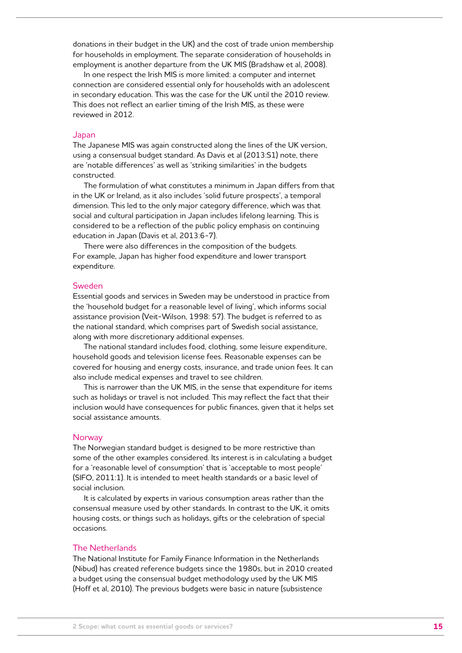donations in their budget in the UK) and the cost of trade union membership for households in employment. The separate consideration of households in employment is another departure from the UK MIS (Bradshaw et al, 2008).

In one respect the Irish MIS is more limited: a computer and internet connection are considered essential only for households with an adolescent in secondary education. This was the case for the UK until the 2010 review. This does not reflect an earlier timing of the Irish MIS, as these were reviewed in 2012.

#### Japan

The Japanese MIS was again constructed along the lines of the UK version, using a consensual budget standard. As Davis et al (2013:S1) note, there are 'notable differences' as well as 'striking similarities' in the budgets constructed.

The formulation of what constitutes a minimum in Japan differs from that in the UK or Ireland, as it also includes 'solid future prospects', a temporal dimension. This led to the only major category difference, which was that social and cultural participation in Japan includes lifelong learning. This is considered to be a reflection of the public policy emphasis on continuing education in Japan (Davis et al, 2013:6-7).

There were also differences in the composition of the budgets. For example, Japan has higher food expenditure and lower transport expenditure.

#### Sweden

Essential goods and services in Sweden may be understood in practice from the 'household budget for a reasonable level of living', which informs social assistance provision (Veit-Wilson, 1998: 57). The budget is referred to as the national standard, which comprises part of Swedish social assistance, along with more discretionary additional expenses.

The national standard includes food, clothing, some leisure expenditure, household goods and television license fees. Reasonable expenses can be covered for housing and energy costs, insurance, and trade union fees. It can also include medical expenses and travel to see children.

This is narrower than the UK MIS, in the sense that expenditure for items such as holidays or travel is not included. This may reflect the fact that their inclusion would have consequences for public finances, given that it helps set social assistance amounts.

#### **Norway**

The Norwegian standard budget is designed to be more restrictive than some of the other examples considered. Its interest is in calculating a budget for a 'reasonable level of consumption' that is 'acceptable to most people' (SIFO, 2011:1). It is intended to meet health standards or a basic level of social inclusion.

It is calculated by experts in various consumption areas rather than the consensual measure used by other standards. In contrast to the UK, it omits housing costs, or things such as holidays, gifts or the celebration of special occasions.

#### The Netherlands

The National Institute for Family Finance Information in the Netherlands (Nibud) has created reference budgets since the 1980s, but in 2010 created a budget using the consensual budget methodology used by the UK MIS (Hoff et al, 2010). The previous budgets were basic in nature (subsistence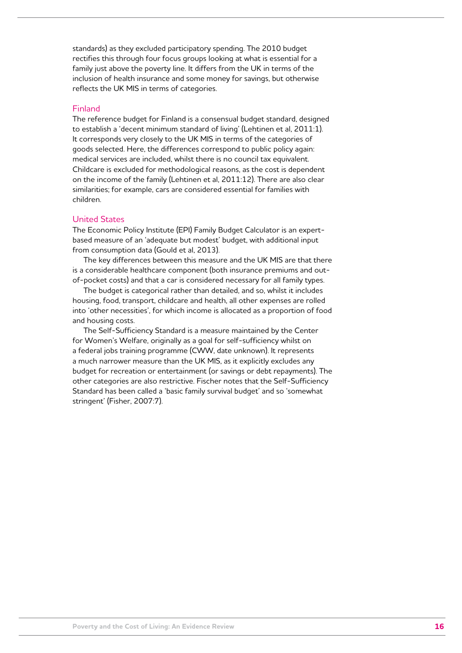standards) as they excluded participatory spending. The 2010 budget rectifies this through four focus groups looking at what is essential for a family just above the poverty line. It differs from the UK in terms of the inclusion of health insurance and some money for savings, but otherwise reflects the UK MIS in terms of categories.

#### Finland

The reference budget for Finland is a consensual budget standard, designed to establish a 'decent minimum standard of living' (Lehtinen et al, 2011:1). It corresponds very closely to the UK MIS in terms of the categories of goods selected. Here, the differences correspond to public policy again: medical services are included, whilst there is no council tax equivalent. Childcare is excluded for methodological reasons, as the cost is dependent on the income of the family (Lehtinen et al, 2011:12). There are also clear similarities; for example, cars are considered essential for families with children.

#### United States

The Economic Policy Institute (EPI) Family Budget Calculator is an expertbased measure of an 'adequate but modest' budget, with additional input from consumption data (Gould et al, 2013).

The key differences between this measure and the UK MIS are that there is a considerable healthcare component (both insurance premiums and outof-pocket costs) and that a car is considered necessary for all family types.

The budget is categorical rather than detailed, and so, whilst it includes housing, food, transport, childcare and health, all other expenses are rolled into 'other necessities', for which income is allocated as a proportion of food and housing costs.

The Self-Sufficiency Standard is a measure maintained by the Center for Women's Welfare, originally as a goal for self-sufficiency whilst on a federal jobs training programme (CWW, date unknown). It represents a much narrower measure than the UK MIS, as it explicitly excludes any budget for recreation or entertainment (or savings or debt repayments). The other categories are also restrictive. Fischer notes that the Self-Sufficiency Standard has been called a 'basic family survival budget' and so 'somewhat stringent' (Fisher, 2007:7).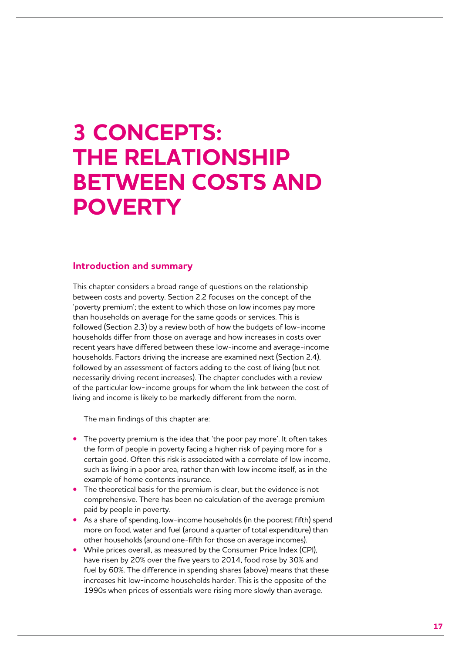## **3 Concepts: the relationship BETWEEN COSTS AND poverty**

## **Introduction and summary**

This chapter considers a broad range of questions on the relationship between costs and poverty. Section 2.2 focuses on the concept of the 'poverty premium'; the extent to which those on low incomes pay more than households on average for the same goods or services. This is followed (Section 2.3) by a review both of how the budgets of low-income households differ from those on average and how increases in costs over recent years have differed between these low-income and average-income households. Factors driving the increase are examined next (Section 2.4), followed by an assessment of factors adding to the cost of living (but not necessarily driving recent increases). The chapter concludes with a review of the particular low-income groups for whom the link between the cost of living and income is likely to be markedly different from the norm.

The main findings of this chapter are:

- **•** The poverty premium is the idea that 'the poor pay more'. It often takes the form of people in poverty facing a higher risk of paying more for a certain good. Often this risk is associated with a correlate of low income, such as living in a poor area, rather than with low income itself, as in the example of home contents insurance.
- **•** The theoretical basis for the premium is clear, but the evidence is not comprehensive. There has been no calculation of the average premium paid by people in poverty.
- **•** As a share of spending, low-income households (in the poorest fifth) spend more on food, water and fuel (around a quarter of total expenditure) than other households (around one-fifth for those on average incomes).
- **•** While prices overall, as measured by the Consumer Price Index (CPI), have risen by 20% over the five years to 2014, food rose by 30% and fuel by 60%. The difference in spending shares (above) means that these increases hit low-income households harder. This is the opposite of the 1990s when prices of essentials were rising more slowly than average.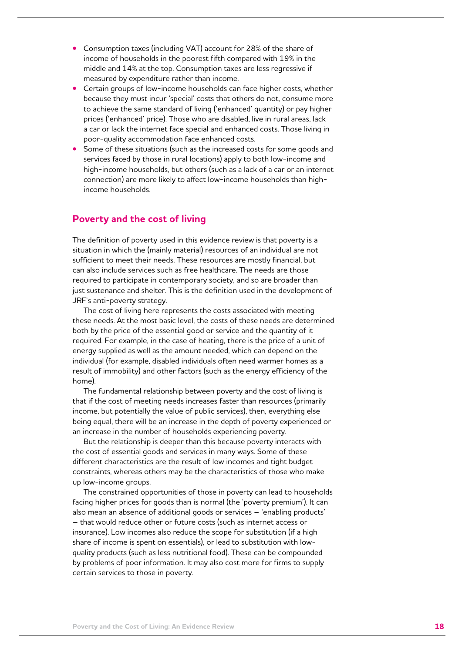- **•** Consumption taxes (including VAT) account for 28% of the share of income of households in the poorest fifth compared with 19% in the middle and 14% at the top. Consumption taxes are less regressive if measured by expenditure rather than income.
- **•** Certain groups of low-income households can face higher costs, whether because they must incur 'special' costs that others do not, consume more to achieve the same standard of living ('enhanced' quantity) or pay higher prices ('enhanced' price). Those who are disabled, live in rural areas, lack a car or lack the internet face special and enhanced costs. Those living in poor-quality accommodation face enhanced costs.
- **•** Some of these situations (such as the increased costs for some goods and services faced by those in rural locations) apply to both low-income and high-income households, but others (such as a lack of a car or an internet connection) are more likely to affect low-income households than highincome households.

## **Poverty and the cost of living**

The definition of poverty used in this evidence review is that poverty is a situation in which the (mainly material) resources of an individual are not sufficient to meet their needs. These resources are mostly financial, but can also include services such as free healthcare. The needs are those required to participate in contemporary society, and so are broader than just sustenance and shelter. This is the definition used in the development of JRF's anti-poverty strategy.

The cost of living here represents the costs associated with meeting these needs. At the most basic level, the costs of these needs are determined both by the price of the essential good or service and the quantity of it required. For example, in the case of heating, there is the price of a unit of energy supplied as well as the amount needed, which can depend on the individual (for example, disabled individuals often need warmer homes as a result of immobility) and other factors (such as the energy efficiency of the home).

The fundamental relationship between poverty and the cost of living is that if the cost of meeting needs increases faster than resources (primarily income, but potentially the value of public services), then, everything else being equal, there will be an increase in the depth of poverty experienced or an increase in the number of households experiencing poverty.

But the relationship is deeper than this because poverty interacts with the cost of essential goods and services in many ways. Some of these different characteristics are the result of low incomes and tight budget constraints, whereas others may be the characteristics of those who make up low-income groups.

The constrained opportunities of those in poverty can lead to households facing higher prices for goods than is normal (the 'poverty premium'). It can also mean an absence of additional goods or services – 'enabling products' – that would reduce other or future costs (such as internet access or insurance). Low incomes also reduce the scope for substitution (if a high share of income is spent on essentials), or lead to substitution with lowquality products (such as less nutritional food). These can be compounded by problems of poor information. It may also cost more for firms to supply certain services to those in poverty.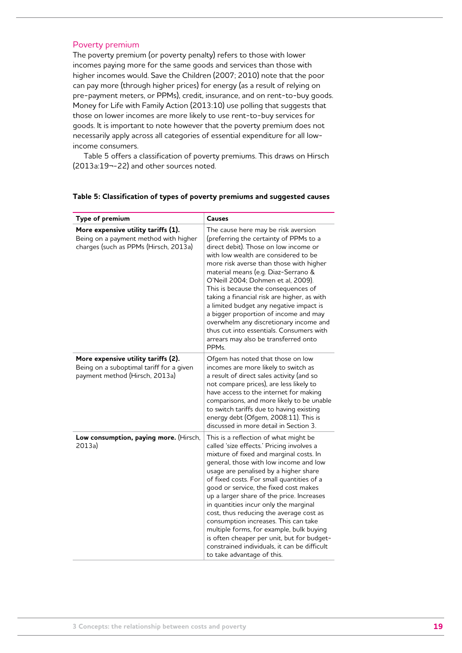#### Poverty premium

The poverty premium (or poverty penalty) refers to those with lower incomes paying more for the same goods and services than those with higher incomes would. Save the Children (2007; 2010) note that the poor can pay more (through higher prices) for energy (as a result of relying on pre-payment meters, or PPMs), credit, insurance, and on rent-to-buy goods. Money for Life with Family Action (2013:10) use polling that suggests that those on lower incomes are more likely to use rent-to-buy services for goods. It is important to note however that the poverty premium does not necessarily apply across all categories of essential expenditure for all lowincome consumers.

Table 5 offers a classification of poverty premiums. This draws on Hirsch (2013a:19¬-22) and other sources noted.

| Type of premium                                                                                                       | <b>Causes</b>                                                                                                                                                                                                                                                                                                                                                                                                                                                                                                                                                                                                                                           |
|-----------------------------------------------------------------------------------------------------------------------|---------------------------------------------------------------------------------------------------------------------------------------------------------------------------------------------------------------------------------------------------------------------------------------------------------------------------------------------------------------------------------------------------------------------------------------------------------------------------------------------------------------------------------------------------------------------------------------------------------------------------------------------------------|
| More expensive utility tariffs (1).<br>Being on a payment method with higher<br>charges (such as PPMs (Hirsch, 2013a) | The cause here may be risk aversion<br>(preferring the certainty of PPMs to a<br>direct debit). Those on low income or<br>with low wealth are considered to be<br>more risk averse than those with higher<br>material means (e.g. Diaz-Serrano &<br>O'Neill 2004; Dohmen et al, 2009).<br>This is because the consequences of<br>taking a financial risk are higher, as with<br>a limited budget any negative impact is<br>a bigger proportion of income and may<br>overwhelm any discretionary income and<br>thus cut into essentials. Consumers with<br>arrears may also be transferred onto<br>PPM <sub>s</sub>                                      |
| More expensive utility tariffs (2).<br>Being on a suboptimal tariff for a given<br>payment method (Hirsch, 2013a)     | Ofgem has noted that those on low<br>incomes are more likely to switch as<br>a result of direct sales activity (and so<br>not compare prices), are less likely to<br>have access to the internet for making<br>comparisons, and more likely to be unable<br>to switch tariffs due to having existing<br>energy debt (Ofgem, 2008:11). This is<br>discussed in more detail in Section 3.                                                                                                                                                                                                                                                                 |
| Low consumption, paying more. (Hirsch,<br>2013a)                                                                      | This is a reflection of what might be<br>called 'size effects.' Pricing involves a<br>mixture of fixed and marginal costs. In<br>general, those with low income and low<br>usage are penalised by a higher share<br>of fixed costs. For small quantities of a<br>good or service, the fixed cost makes<br>up a larger share of the price. Increases<br>in quantities incur only the marginal<br>cost, thus reducing the average cost as<br>consumption increases. This can take<br>multiple forms, for example, bulk buying<br>is often cheaper per unit, but for budget-<br>constrained individuals, it can be difficult<br>to take advantage of this. |

#### **Table 5: Classification of types of poverty premiums and suggested causes**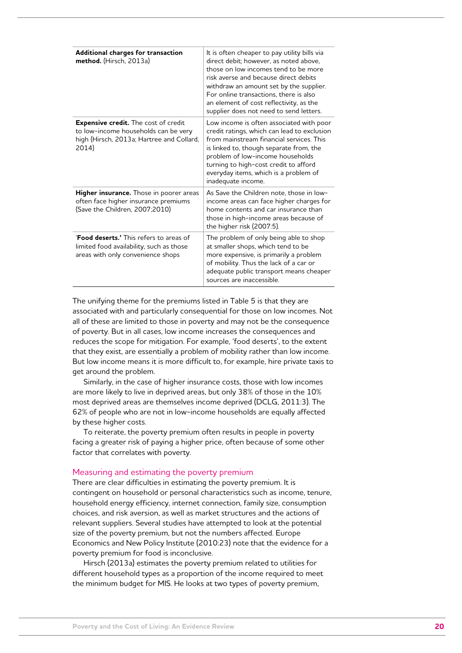| Additional charges for transaction<br>method. (Hirsch, 2013a)                                                                             | It is often cheaper to pay utility bills via<br>direct debit; however, as noted above,<br>those on low incomes tend to be more<br>risk averse and because direct debits<br>withdraw an amount set by the supplier.<br>For online transactions, there is also<br>an element of cost reflectivity, as the<br>supplier does not need to send letters. |
|-------------------------------------------------------------------------------------------------------------------------------------------|----------------------------------------------------------------------------------------------------------------------------------------------------------------------------------------------------------------------------------------------------------------------------------------------------------------------------------------------------|
| <b>Expensive credit.</b> The cost of credit<br>to low-income households can be very<br>high (Hirsch, 2013a; Hartree and Collard,<br>2014) | Low income is often associated with poor<br>credit ratings, which can lead to exclusion<br>from mainstream financial services. This<br>is linked to, though separate from, the<br>problem of low-income households<br>turning to high-cost credit to afford<br>everyday items, which is a problem of<br>inadequate income.                         |
| Higher insurance. Those in poorer areas<br>often face higher insurance premiums<br>(Save the Children, 2007;2010)                         | As Save the Children note, those in low-<br>income areas can face higher charges for<br>home contents and car insurance than<br>those in high-income areas because of<br>the higher risk (2007:5).                                                                                                                                                 |
| 'Food deserts.' This refers to areas of<br>limited food availability, such as those<br>areas with only convenience shops                  | The problem of only being able to shop<br>at smaller shops, which tend to be<br>more expensive, is primarily a problem<br>of mobility. Thus the lack of a car or<br>adequate public transport means cheaper<br>sources are inaccessible.                                                                                                           |

The unifying theme for the premiums listed in Table 5 is that they are associated with and particularly consequential for those on low incomes. Not all of these are limited to those in poverty and may not be the consequence of poverty. But in all cases, low income increases the consequences and reduces the scope for mitigation. For example, 'food deserts', to the extent that they exist, are essentially a problem of mobility rather than low income. But low income means it is more difficult to, for example, hire private taxis to get around the problem.

Similarly, in the case of higher insurance costs, those with low incomes are more likely to live in deprived areas, but only 38% of those in the 10% most deprived areas are themselves income deprived (DCLG, 2011:3). The 62% of people who are not in low-income households are equally affected by these higher costs.

To reiterate, the poverty premium often results in people in poverty facing a greater risk of paying a higher price, often because of some other factor that correlates with poverty.

#### Measuring and estimating the poverty premium

There are clear difficulties in estimating the poverty premium. It is contingent on household or personal characteristics such as income, tenure, household energy efficiency, internet connection, family size, consumption choices, and risk aversion, as well as market structures and the actions of relevant suppliers. Several studies have attempted to look at the potential size of the poverty premium, but not the numbers affected. Europe Economics and New Policy Institute (2010:23) note that the evidence for a poverty premium for food is inconclusive.

Hirsch (2013a) estimates the poverty premium related to utilities for different household types as a proportion of the income required to meet the minimum budget for MIS. He looks at two types of poverty premium,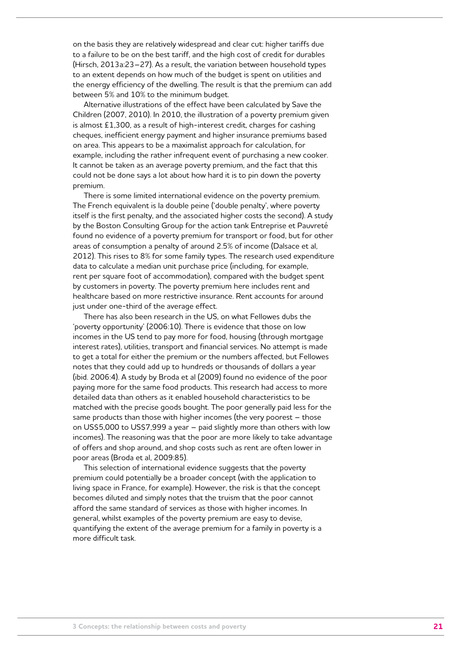on the basis they are relatively widespread and clear cut: higher tariffs due to a failure to be on the best tariff, and the high cost of credit for durables (Hirsch, 2013a:23–27). As a result, the variation between household types to an extent depends on how much of the budget is spent on utilities and the energy efficiency of the dwelling. The result is that the premium can add between 5% and 10% to the minimum budget.

Alternative illustrations of the effect have been calculated by Save the Children (2007, 2010). In 2010, the illustration of a poverty premium given is almost £1,300, as a result of high-interest credit, charges for cashing cheques, inefficient energy payment and higher insurance premiums based on area. This appears to be a maximalist approach for calculation, for example, including the rather infrequent event of purchasing a new cooker. It cannot be taken as an average poverty premium, and the fact that this could not be done says a lot about how hard it is to pin down the poverty premium.

There is some limited international evidence on the poverty premium. The French equivalent is la double peine ('double penalty', where poverty itself is the first penalty, and the associated higher costs the second). A study by the Boston Consulting Group for the action tank Entreprise et Pauvreté found no evidence of a poverty premium for transport or food, but for other areas of consumption a penalty of around 2.5% of income (Dalsace et al, 2012). This rises to 8% for some family types. The research used expenditure data to calculate a median unit purchase price (including, for example, rent per square foot of accommodation), compared with the budget spent by customers in poverty. The poverty premium here includes rent and healthcare based on more restrictive insurance. Rent accounts for around just under one-third of the average effect.

There has also been research in the US, on what Fellowes dubs the 'poverty opportunity' (2006:10). There is evidence that those on low incomes in the US tend to pay more for food, housing (through mortgage interest rates), utilities, transport and financial services. No attempt is made to get a total for either the premium or the numbers affected, but Fellowes notes that they could add up to hundreds or thousands of dollars a year (ibid. 2006:4). A study by Broda et al (2009) found no evidence of the poor paying more for the same food products. This research had access to more detailed data than others as it enabled household characteristics to be matched with the precise goods bought. The poor generally paid less for the same products than those with higher incomes (the very poorest – those on US\$5,000 to US\$7,999 a year – paid slightly more than others with low incomes). The reasoning was that the poor are more likely to take advantage of offers and shop around, and shop costs such as rent are often lower in poor areas (Broda et al, 2009:85).

This selection of international evidence suggests that the poverty premium could potentially be a broader concept (with the application to living space in France, for example). However, the risk is that the concept becomes diluted and simply notes that the truism that the poor cannot afford the same standard of services as those with higher incomes. In general, whilst examples of the poverty premium are easy to devise, quantifying the extent of the average premium for a family in poverty is a more difficult task.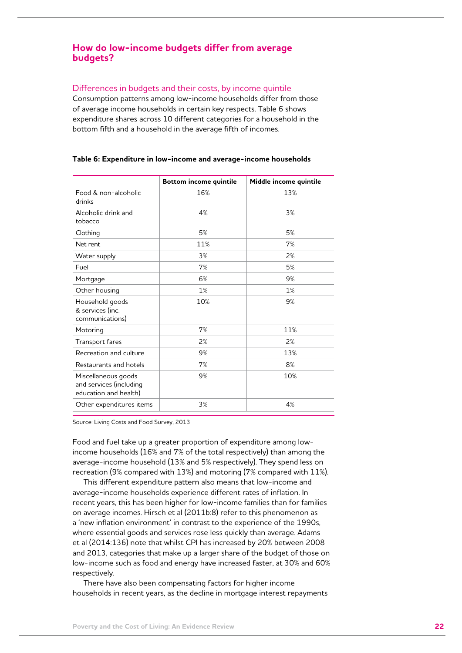## **How do low-income budgets differ from average budgets?**

#### Differences in budgets and their costs, by income quintile

Consumption patterns among low-income households differ from those of average income households in certain key respects. Table 6 shows expenditure shares across 10 different categories for a household in the bottom fifth and a household in the average fifth of incomes.

|                                                                         | <b>Bottom income quintile</b> | Middle income quintile |
|-------------------------------------------------------------------------|-------------------------------|------------------------|
| Food & non-alcoholic<br>drinks                                          | 16%                           | 13%                    |
| Alcoholic drink and<br>tobacco                                          | 4%                            | 3%                     |
| Clothing                                                                | 5%                            | 5%                     |
| Net rent                                                                | 11%                           | 7%                     |
| Water supply                                                            | 3%                            | 2%                     |
| Fuel                                                                    | 7%                            | 5%                     |
| Mortgage                                                                | 6%                            | 9%                     |
| Other housing                                                           | 1%                            | 1%                     |
| Household goods<br>& services (inc.<br>communications)                  | 10%                           | 9%                     |
| Motoring                                                                | 7%                            | 11%                    |
| Transport fares                                                         | 2%                            | 2%                     |
| Recreation and culture                                                  | 9%                            | 13%                    |
| Restaurants and hotels                                                  | 7%                            | 8%                     |
| Miscellaneous goods<br>and services (including<br>education and health) | 9%                            | 10%                    |
| Other expenditures items                                                | 3%                            | 4%                     |

#### **Table 6: Expenditure in low-income and average-income households**

Source: Living Costs and Food Survey, 2013

Food and fuel take up a greater proportion of expenditure among lowincome households (16% and 7% of the total respectively) than among the average-income household (13% and 5% respectively). They spend less on recreation (9% compared with 13%) and motoring (7% compared with 11%).

This different expenditure pattern also means that low-income and average-income households experience different rates of inflation. In recent years, this has been higher for low-income families than for families on average incomes. Hirsch et al (2011b:8) refer to this phenomenon as a 'new inflation environment' in contrast to the experience of the 1990s, where essential goods and services rose less quickly than average. Adams et al (2014:136) note that whilst CPI has increased by 20% between 2008 and 2013, categories that make up a larger share of the budget of those on low-income such as food and energy have increased faster, at 30% and 60% respectively.

There have also been compensating factors for higher income households in recent years, as the decline in mortgage interest repayments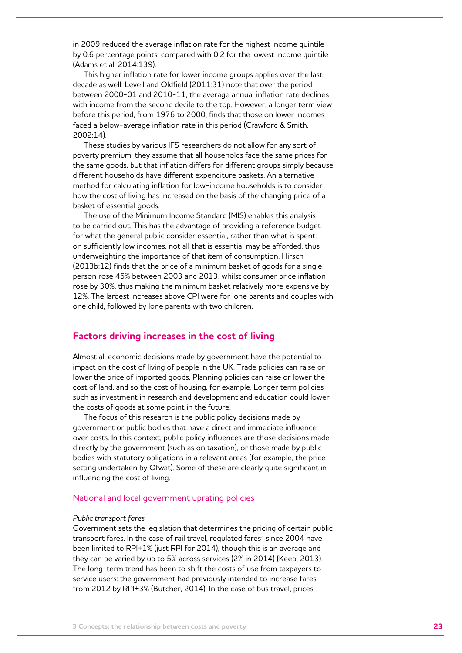in 2009 reduced the average inflation rate for the highest income quintile by 0.6 percentage points, compared with 0.2 for the lowest income quintile (Adams et al, 2014:139).

This higher inflation rate for lower income groups applies over the last decade as well: Levell and Oldfield (2011:31) note that over the period between 2000-01 and 2010-11, the average annual inflation rate declines with income from the second decile to the top. However, a longer term view before this period, from 1976 to 2000, finds that those on lower incomes faced a below-average inflation rate in this period (Crawford & Smith, 2002:14).

These studies by various IFS researchers do not allow for any sort of poverty premium: they assume that all households face the same prices for the same goods, but that inflation differs for different groups simply because different households have different expenditure baskets. An alternative method for calculating inflation for low-income households is to consider how the cost of living has increased on the basis of the changing price of a basket of essential goods.

The use of the Minimum Income Standard (MIS) enables this analysis to be carried out. This has the advantage of providing a reference budget for what the general public consider essential, rather than what is spent: on sufficiently low incomes, not all that is essential may be afforded, thus underweighting the importance of that item of consumption. Hirsch (2013b:12) finds that the price of a minimum basket of goods for a single person rose 45% between 2003 and 2013, whilst consumer price inflation rose by 30%, thus making the minimum basket relatively more expensive by 12%. The largest increases above CPI were for lone parents and couples with one child, followed by lone parents with two children.

## **Factors driving increases in the cost of living**

Almost all economic decisions made by government have the potential to impact on the cost of living of people in the UK. Trade policies can raise or lower the price of imported goods. Planning policies can raise or lower the cost of land, and so the cost of housing, for example. Longer term policies such as investment in research and development and education could lower the costs of goods at some point in the future.

The focus of this research is the public policy decisions made by government or public bodies that have a direct and immediate influence over costs. In this context, public policy influences are those decisions made directly by the government (such as on taxation), or those made by public bodies with statutory obligations in a relevant areas (for example, the pricesetting undertaken by Ofwat). Some of these are clearly quite significant in influencing the cost of living.

#### National and local government uprating policies

#### *Public transport fares*

Government sets the legislation that determines the pricing of certain public transport fares. In the case of rail travel, regulated fares<sup>2</sup> since 2004 have been limited to RPI+1% (just RPI for 2014), though this is an average and they can be varied by up to 5% across services (2% in 2014) (Keep, 2013). The long-term trend has been to shift the costs of use from taxpayers to service users: the government had previously intended to increase fares from 2012 by RPI+3% (Butcher, 2014). In the case of bus travel, prices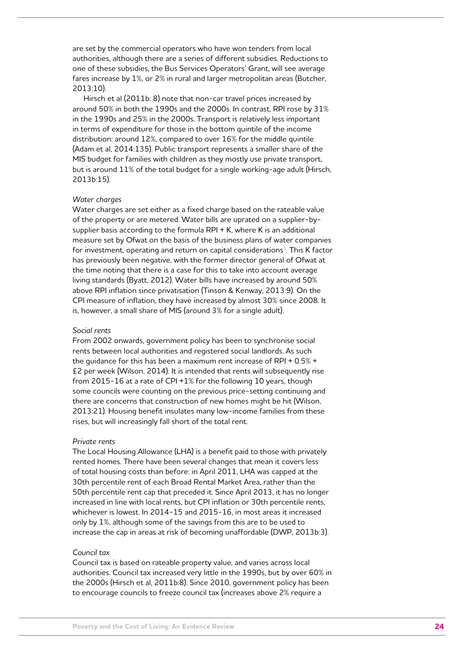are set by the commercial operators who have won tenders from local authorities, although there are a series of different subsidies. Reductions to one of these subsidies, the Bus Services Operators' Grant, will see average fares increase by 1%, or 2% in rural and larger metropolitan areas (Butcher, 2013:10).

Hirsch et al (2011b: 8) note that non-car travel prices increased by around 50% in both the 1990s and the 2000s. In contrast, RPI rose by 31% in the 1990s and 25% in the 2000s. Transport is relatively less important in terms of expenditure for those in the bottom quintile of the income distribution: around 12%, compared to over 16% for the middle quintile (Adam et al, 2014:135). Public transport represents a smaller share of the MIS budget for families with children as they mostly use private transport, but is around 11% of the total budget for a single working-age adult (Hirsch, 2013b:15).

#### *Water charges*

Water charges are set either as a fixed charge based on the rateable value of the property or are metered. Water bills are uprated on a supplier-bysupplier basis according to the formula RPI  $+$  K, where K is an additional measure set by Ofwat on the basis of the business plans of water companies for investment, operating and return on capital considerations<sup>3</sup>. This K factor has previously been negative, with the former director general of Ofwat at the time noting that there is a case for this to take into account average living standards (Byatt, 2012). Water bills have increased by around 50% above RPI inflation since privatisation (Tinson & Kenway, 2013:9). On the CPI measure of inflation, they have increased by almost 30% since 2008. It is, however, a small share of MIS (around 3% for a single adult).

#### *Social rents*

From 2002 onwards, government policy has been to synchronise social rents between local authorities and registered social landlords. As such the guidance for this has been a maximum rent increase of RPI + 0.5% + £2 per week (Wilson, 2014). It is intended that rents will subsequently rise from 2015-16 at a rate of CPI +1% for the following 10 years, though some councils were counting on the previous price-setting continuing and there are concerns that construction of new homes might be hit (Wilson, 2013:21). Housing benefit insulates many low-income families from these rises, but will increasingly fall short of the total rent.

#### *Private rents*

The Local Housing Allowance (LHA) is a benefit paid to those with privately rented homes. There have been several changes that mean it covers less of total housing costs than before: in April 2011, LHA was capped at the 30th percentile rent of each Broad Rental Market Area, rather than the 50th percentile rent cap that preceded it. Since April 2013, it has no longer increased in line with local rents, but CPI inflation or 30th percentile rents, whichever is lowest. In 2014-15 and 2015-16, in most areas it increased only by 1%, although some of the savings from this are to be used to increase the cap in areas at risk of becoming unaffordable (DWP, 2013b:3).

#### *Council tax*

Council tax is based on rateable property value, and varies across local authorities. Council tax increased very little in the 1990s, but by over 60% in the 2000s (Hirsch et al, 2011b:8). Since 2010, government policy has been to encourage councils to freeze council tax (increases above 2% require a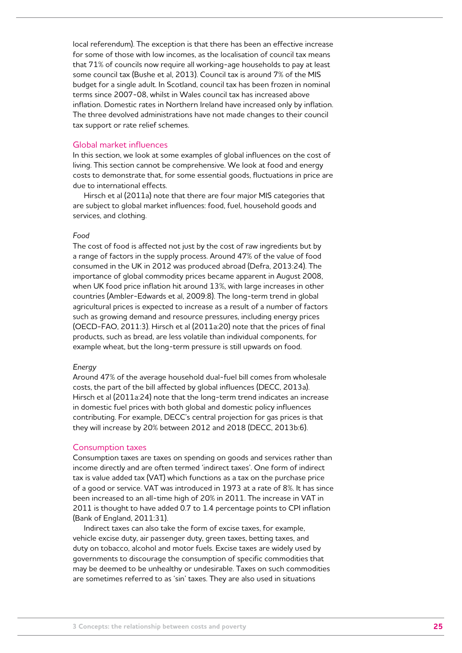local referendum). The exception is that there has been an effective increase for some of those with low incomes, as the localisation of council tax means that 71% of councils now require all working-age households to pay at least some council tax (Bushe et al, 2013). Council tax is around 7% of the MIS budget for a single adult. In Scotland, council tax has been frozen in nominal terms since 2007-08, whilst in Wales council tax has increased above inflation. Domestic rates in Northern Ireland have increased only by inflation. The three devolved administrations have not made changes to their council tax support or rate relief schemes.

#### Global market influences

In this section, we look at some examples of global influences on the cost of living. This section cannot be comprehensive. We look at food and energy costs to demonstrate that, for some essential goods, fluctuations in price are due to international effects.

Hirsch et al (2011a) note that there are four major MIS categories that are subject to global market influences: food, fuel, household goods and services, and clothing.

#### *Food*

The cost of food is affected not just by the cost of raw ingredients but by a range of factors in the supply process. Around 47% of the value of food consumed in the UK in 2012 was produced abroad (Defra, 2013:24). The importance of global commodity prices became apparent in August 2008, when UK food price inflation hit around 13%, with large increases in other countries (Ambler-Edwards et al, 2009:8). The long-term trend in global agricultural prices is expected to increase as a result of a number of factors such as growing demand and resource pressures, including energy prices (OECD-FAO, 2011:3). Hirsch et al (2011a:20) note that the prices of final products, such as bread, are less volatile than individual components, for example wheat, but the long-term pressure is still upwards on food.

#### *Energy*

Around 47% of the average household dual-fuel bill comes from wholesale costs, the part of the bill affected by global influences (DECC, 2013a). Hirsch et al (2011a:24) note that the long-term trend indicates an increase in domestic fuel prices with both global and domestic policy influences contributing. For example, DECC's central projection for gas prices is that they will increase by 20% between 2012 and 2018 (DECC, 2013b:6).

#### Consumption taxes

Consumption taxes are taxes on spending on goods and services rather than income directly and are often termed 'indirect taxes'. One form of indirect tax is value added tax (VAT) which functions as a tax on the purchase price of a good or service. VAT was introduced in 1973 at a rate of 8%. It has since been increased to an all-time high of 20% in 2011. The increase in VAT in 2011 is thought to have added 0.7 to 1.4 percentage points to CPI inflation (Bank of England, 2011:31).

Indirect taxes can also take the form of excise taxes, for example, vehicle excise duty, air passenger duty, green taxes, betting taxes, and duty on tobacco, alcohol and motor fuels. Excise taxes are widely used by governments to discourage the consumption of specific commodities that may be deemed to be unhealthy or undesirable. Taxes on such commodities are sometimes referred to as 'sin' taxes. They are also used in situations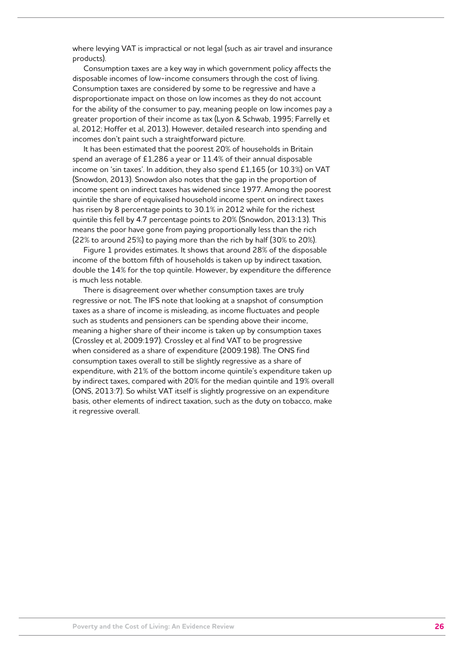where levying VAT is impractical or not legal (such as air travel and insurance products).

Consumption taxes are a key way in which government policy affects the disposable incomes of low-income consumers through the cost of living. Consumption taxes are considered by some to be regressive and have a disproportionate impact on those on low incomes as they do not account for the ability of the consumer to pay, meaning people on low incomes pay a greater proportion of their income as tax (Lyon & Schwab, 1995; Farrelly et al, 2012; Hoffer et al, 2013). However, detailed research into spending and incomes don't paint such a straightforward picture.

It has been estimated that the poorest 20% of households in Britain spend an average of £1,286 a year or 11.4% of their annual disposable income on 'sin taxes'. In addition, they also spend £1,165 (or 10.3%) on VAT (Snowdon, 2013). Snowdon also notes that the gap in the proportion of income spent on indirect taxes has widened since 1977. Among the poorest quintile the share of equivalised household income spent on indirect taxes has risen by 8 percentage points to 30.1% in 2012 while for the richest quintile this fell by 4.7 percentage points to 20% (Snowdon, 2013:13). This means the poor have gone from paying proportionally less than the rich (22% to around 25%) to paying more than the rich by half (30% to 20%).

Figure 1 provides estimates. It shows that around 28% of the disposable income of the bottom fifth of households is taken up by indirect taxation, double the 14% for the top quintile. However, by expenditure the difference is much less notable.

There is disagreement over whether consumption taxes are truly regressive or not. The IFS note that looking at a snapshot of consumption taxes as a share of income is misleading, as income fluctuates and people such as students and pensioners can be spending above their income, meaning a higher share of their income is taken up by consumption taxes (Crossley et al, 2009:197). Crossley et al find VAT to be progressive when considered as a share of expenditure (2009:198). The ONS find consumption taxes overall to still be slightly regressive as a share of expenditure, with 21% of the bottom income quintile's expenditure taken up by indirect taxes, compared with 20% for the median quintile and 19% overall (ONS, 2013:7). So whilst VAT itself is slightly progressive on an expenditure basis, other elements of indirect taxation, such as the duty on tobacco, make it regressive overall.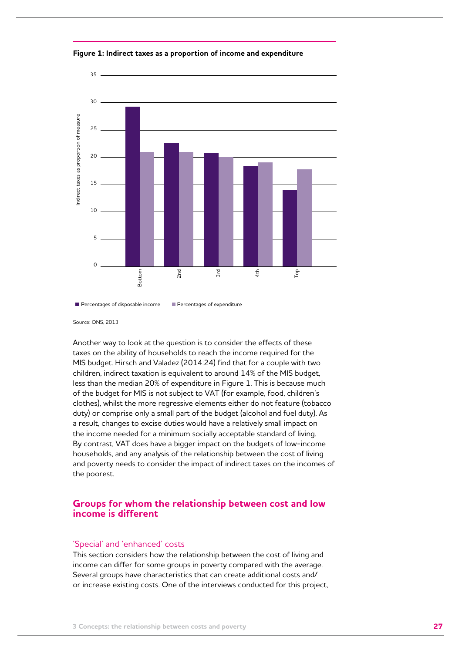

#### **Figure 1: Indirect taxes as a proportion of income and expenditure**

Another way to look at the question is to consider the effects of these taxes on the ability of households to reach the income required for the MIS budget. Hirsch and Valadez (2014:24) find that for a couple with two children, indirect taxation is equivalent to around 14% of the MIS budget, less than the median 20% of expenditure in Figure 1. This is because much of the budget for MIS is not subject to VAT (for example, food, children's clothes), whilst the more regressive elements either do not feature (tobacco duty) or comprise only a small part of the budget (alcohol and fuel duty). As a result, changes to excise duties would have a relatively small impact on the income needed for a minimum socially acceptable standard of living. By contrast, VAT does have a bigger impact on the budgets of low-income households, and any analysis of the relationship between the cost of living and poverty needs to consider the impact of indirect taxes on the incomes of the poorest.

## **Groups for whom the relationship between cost and low income is different**

#### 'Special' and 'enhanced' costs

This section considers how the relationship between the cost of living and income can differ for some groups in poverty compared with the average. Several groups have characteristics that can create additional costs and/ or increase existing costs. One of the interviews conducted for this project,

Percentages of disposable income Percentages of expenditure

Source: ONS, 2013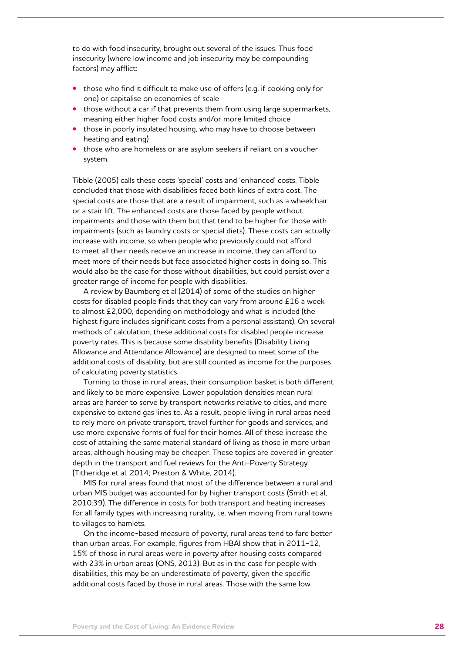to do with food insecurity, brought out several of the issues. Thus food insecurity (where low income and job insecurity may be compounding factors) may afflict:

- **•** those who find it difficult to make use of offers (e.g. if cooking only for one) or capitalise on economies of scale
- **•** those without a car if that prevents them from using large supermarkets, meaning either higher food costs and/or more limited choice
- **•** those in poorly insulated housing, who may have to choose between heating and eating)
- **•** those who are homeless or are asylum seekers if reliant on a voucher system.

Tibble (2005) calls these costs 'special' costs and 'enhanced' costs. Tibble concluded that those with disabilities faced both kinds of extra cost. The special costs are those that are a result of impairment, such as a wheelchair or a stair lift. The enhanced costs are those faced by people without impairments and those with them but that tend to be higher for those with impairments (such as laundry costs or special diets). These costs can actually increase with income, so when people who previously could not afford to meet all their needs receive an increase in income, they can afford to meet more of their needs but face associated higher costs in doing so. This would also be the case for those without disabilities, but could persist over a greater range of income for people with disabilities.

A review by Baumberg et al (2014) of some of the studies on higher costs for disabled people finds that they can vary from around £16 a week to almost £2,000, depending on methodology and what is included (the highest figure includes significant costs from a personal assistant). On several methods of calculation, these additional costs for disabled people increase poverty rates. This is because some disability benefits (Disability Living Allowance and Attendance Allowance) are designed to meet some of the additional costs of disability, but are still counted as income for the purposes of calculating poverty statistics.

Turning to those in rural areas, their consumption basket is both different and likely to be more expensive. Lower population densities mean rural areas are harder to serve by transport networks relative to cities, and more expensive to extend gas lines to. As a result, people living in rural areas need to rely more on private transport, travel further for goods and services, and use more expensive forms of fuel for their homes. All of these increase the cost of attaining the same material standard of living as those in more urban areas, although housing may be cheaper. These topics are covered in greater depth in the transport and fuel reviews for the Anti-Poverty Strategy (Titheridge et al, 2014; Preston & White, 2014).

MIS for rural areas found that most of the difference between a rural and urban MIS budget was accounted for by higher transport costs (Smith et al, 2010:39). The difference in costs for both transport and heating increases for all family types with increasing rurality, i.e. when moving from rural towns to villages to hamlets.

On the income-based measure of poverty, rural areas tend to fare better than urban areas. For example, figures from HBAI show that in 2011-12, 15% of those in rural areas were in poverty after housing costs compared with 23% in urban areas (ONS, 2013). But as in the case for people with disabilities, this may be an underestimate of poverty, given the specific additional costs faced by those in rural areas. Those with the same low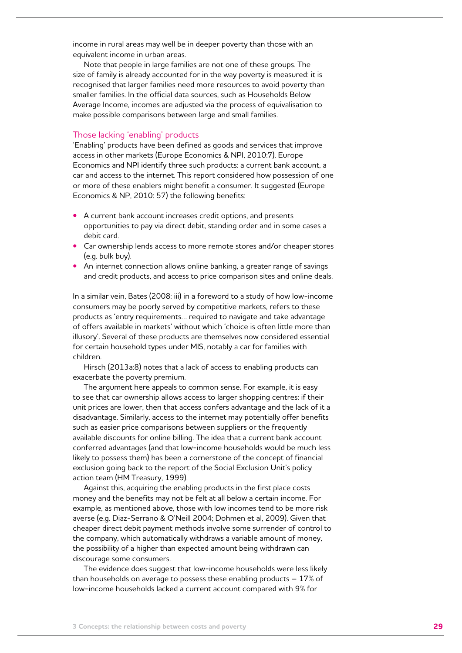income in rural areas may well be in deeper poverty than those with an equivalent income in urban areas.

Note that people in large families are not one of these groups. The size of family is already accounted for in the way poverty is measured: it is recognised that larger families need more resources to avoid poverty than smaller families. In the official data sources, such as Households Below Average Income, incomes are adjusted via the process of equivalisation to make possible comparisons between large and small families.

#### Those lacking 'enabling' products

'Enabling' products have been defined as goods and services that improve access in other markets (Europe Economics & NPI, 2010:7). Europe Economics and NPI identify three such products: a current bank account, a car and access to the internet. This report considered how possession of one or more of these enablers might benefit a consumer. It suggested (Europe Economics & NP, 2010: 57) the following benefits:

- **•** A current bank account increases credit options, and presents opportunities to pay via direct debit, standing order and in some cases a debit card.
- **•** Car ownership lends access to more remote stores and/or cheaper stores (e.g. bulk buy).
- **•** An internet connection allows online banking, a greater range of savings and credit products, and access to price comparison sites and online deals.

In a similar vein, Bates (2008: iii) in a foreword to a study of how low-income consumers may be poorly served by competitive markets, refers to these products as 'entry requirements… required to navigate and take advantage of offers available in markets' without which 'choice is often little more than illusory'. Several of these products are themselves now considered essential for certain household types under MIS, notably a car for families with children.

Hirsch (2013a:8) notes that a lack of access to enabling products can exacerbate the poverty premium.

The argument here appeals to common sense. For example, it is easy to see that car ownership allows access to larger shopping centres: if their unit prices are lower, then that access confers advantage and the lack of it a disadvantage. Similarly, access to the internet may potentially offer benefits such as easier price comparisons between suppliers or the frequently available discounts for online billing. The idea that a current bank account conferred advantages (and that low-income households would be much less likely to possess them) has been a cornerstone of the concept of financial exclusion going back to the report of the Social Exclusion Unit's policy action team (HM Treasury, 1999).

Against this, acquiring the enabling products in the first place costs money and the benefits may not be felt at all below a certain income. For example, as mentioned above, those with low incomes tend to be more risk averse (e.g. Diaz-Serrano & O'Neill 2004; Dohmen et al, 2009). Given that cheaper direct debit payment methods involve some surrender of control to the company, which automatically withdraws a variable amount of money, the possibility of a higher than expected amount being withdrawn can discourage some consumers.

The evidence does suggest that low-income households were less likely than households on average to possess these enabling products  $-17\%$  of low-income households lacked a current account compared with 9% for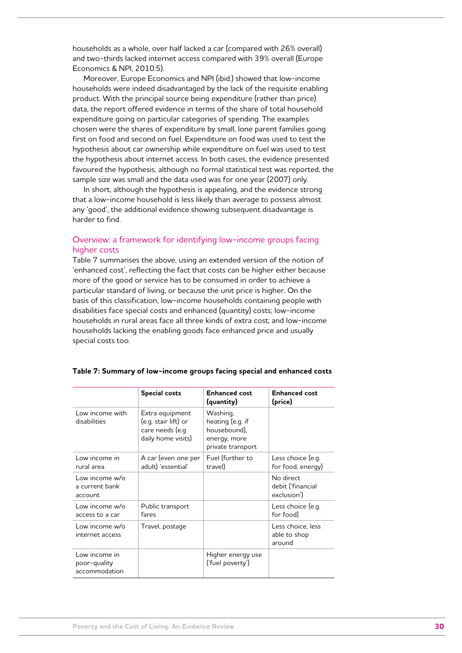households as a whole, over half lacked a car (compared with 26% overall) and two-thirds lacked internet access compared with 39% overall (Europe Economics & NPI, 2010:5).

Moreover, Europe Economics and NPI (ibid.) showed that low-income households were indeed disadvantaged by the lack of the requisite enabling product. With the principal source being expenditure (rather than price) data, the report offered evidence in terms of the share of total household expenditure going on particular categories of spending. The examples chosen were the shares of expenditure by small, lone parent families going first on food and second on fuel. Expenditure on food was used to test the hypothesis about car ownership while expenditure on fuel was used to test the hypothesis about internet access. In both cases, the evidence presented favoured the hypothesis, although no formal statistical test was reported, the sample size was small and the data used was for one year (2007) only.

In short, although the hypothesis is appealing, and the evidence strong that a low-income household is less likely than average to possess almost any 'good', the additional evidence showing subsequent disadvantage is harder to find.

## Overview: a framework for identifying low-income groups facing higher costs

Table 7 summarises the above, using an extended version of the notion of 'enhanced cost', reflecting the fact that costs can be higher either because more of the good or service has to be consumed in order to achieve a particular standard of living, or because the unit price is higher. On the basis of this classification, low-income households containing people with disabilities face special costs and enhanced (quantity) costs; low-income households in rural areas face all three kinds of extra cost; and low-income households lacking the enabling goods face enhanced price and usually special costs too.

|                                                | <b>Special costs</b>                                                              | <b>Enhanced cost</b><br>(quantity)                                                | <b>Enhanced cost</b><br>(price)               |
|------------------------------------------------|-----------------------------------------------------------------------------------|-----------------------------------------------------------------------------------|-----------------------------------------------|
| Low income with<br>disabilities                | Extra equipment<br>(e.g. stair lift) or<br>care needs (e.g.<br>daily home visits) | Washing,<br>heating (e.g. if<br>housebound),<br>energy, more<br>private transport |                                               |
| Low income in<br>rural area                    | A car (even one per<br>adult) 'essential'                                         | Fuel (further to<br>travel)                                                       | Less choice (e.g.<br>for food, energy)        |
| Low income w/o<br>a current bank<br>account    |                                                                                   |                                                                                   | No direct<br>debit ('financial<br>exclusion') |
| Low income w/o<br>access to a car              | Public transport<br>fares                                                         |                                                                                   | Less choice (e.g.<br>for food)                |
| Low income w/o<br>internet access              | Travel, postage                                                                   |                                                                                   | Less choice, less<br>able to shop<br>around   |
| Low income in<br>poor-quality<br>accommodation |                                                                                   | Higher energy use<br>('fuel poverty')                                             |                                               |

### **Table 7: Summary of low-income groups facing special and enhanced costs**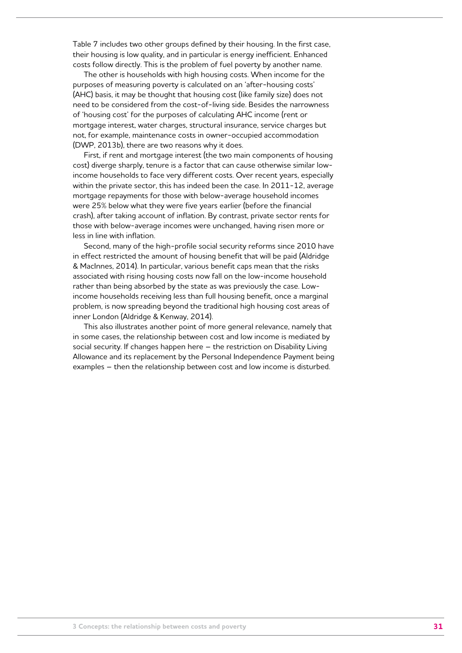Table 7 includes two other groups defined by their housing. In the first case, their housing is low quality, and in particular is energy inefficient. Enhanced costs follow directly. This is the problem of fuel poverty by another name.

The other is households with high housing costs. When income for the purposes of measuring poverty is calculated on an 'after-housing costs' (AHC) basis, it may be thought that housing cost (like family size) does not need to be considered from the cost-of-living side. Besides the narrowness of 'housing cost' for the purposes of calculating AHC income (rent or mortgage interest, water charges, structural insurance, service charges but not, for example, maintenance costs in owner-occupied accommodation (DWP, 2013b), there are two reasons why it does.

First, if rent and mortgage interest (the two main components of housing cost) diverge sharply, tenure is a factor that can cause otherwise similar lowincome households to face very different costs. Over recent years, especially within the private sector, this has indeed been the case. In 2011-12, average mortgage repayments for those with below-average household incomes were 25% below what they were five years earlier (before the financial crash), after taking account of inflation. By contrast, private sector rents for those with below-average incomes were unchanged, having risen more or less in line with inflation.

Second, many of the high-profile social security reforms since 2010 have in effect restricted the amount of housing benefit that will be paid (Aldridge & MacInnes, 2014). In particular, various benefit caps mean that the risks associated with rising housing costs now fall on the low-income household rather than being absorbed by the state as was previously the case. Lowincome households receiving less than full housing benefit, once a marginal problem, is now spreading beyond the traditional high housing cost areas of inner London (Aldridge & Kenway, 2014).

This also illustrates another point of more general relevance, namely that in some cases, the relationship between cost and low income is mediated by social security. If changes happen here – the restriction on Disability Living Allowance and its replacement by the Personal Independence Payment being examples – then the relationship between cost and low income is disturbed.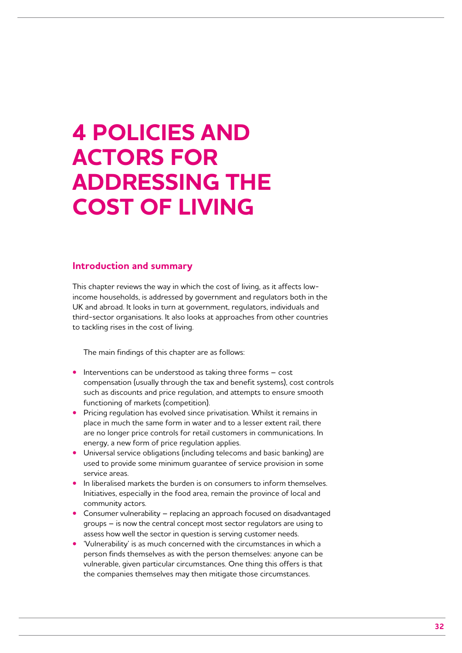## **4 Policies and actors for addressing the cost of living**

## **Introduction and summary**

This chapter reviews the way in which the cost of living, as it affects lowincome households, is addressed by government and regulators both in the UK and abroad. It looks in turn at government, regulators, individuals and third-sector organisations. It also looks at approaches from other countries to tackling rises in the cost of living.

The main findings of this chapter are as follows:

- **•** Interventions can be understood as taking three forms cost compensation (usually through the tax and benefit systems), cost controls such as discounts and price regulation, and attempts to ensure smooth functioning of markets (competition).
- **•** Pricing regulation has evolved since privatisation. Whilst it remains in place in much the same form in water and to a lesser extent rail, there are no longer price controls for retail customers in communications. In energy, a new form of price regulation applies.
- **•** Universal service obligations (including telecoms and basic banking) are used to provide some minimum guarantee of service provision in some service areas.
- **•** In liberalised markets the burden is on consumers to inform themselves. Initiatives, especially in the food area, remain the province of local and community actors.
- **•** Consumer vulnerability replacing an approach focused on disadvantaged groups – is now the central concept most sector regulators are using to assess how well the sector in question is serving customer needs.
- **•** 'Vulnerability' is as much concerned with the circumstances in which a person finds themselves as with the person themselves: anyone can be vulnerable, given particular circumstances. One thing this offers is that the companies themselves may then mitigate those circumstances.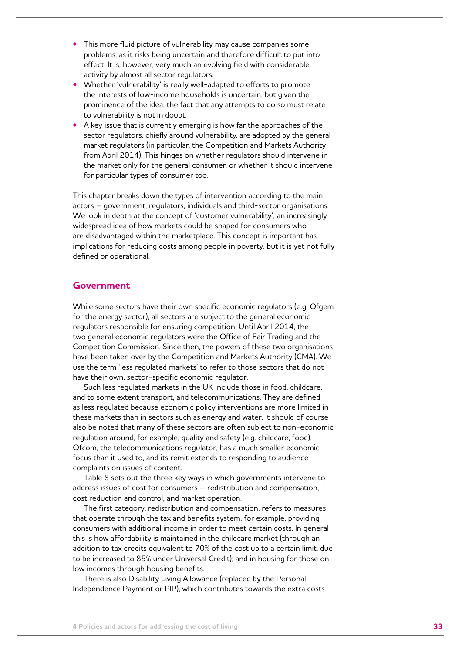- **•** This more fluid picture of vulnerability may cause companies some problems, as it risks being uncertain and therefore difficult to put into effect. It is, however, very much an evolving field with considerable activity by almost all sector regulators.
- **•** Whether 'vulnerability' is really well-adapted to efforts to promote the interests of low-income households is uncertain, but given the prominence of the idea, the fact that any attempts to do so must relate to vulnerability is not in doubt.
- **•** A key issue that is currently emerging is how far the approaches of the sector regulators, chiefly around vulnerability, are adopted by the general market regulators (in particular, the Competition and Markets Authority from April 2014). This hinges on whether regulators should intervene in the market only for the general consumer, or whether it should intervene for particular types of consumer too.

This chapter breaks down the types of intervention according to the main actors – government, regulators, individuals and third-sector organisations. We look in depth at the concept of 'customer vulnerability', an increasingly widespread idea of how markets could be shaped for consumers who are disadvantaged within the marketplace. This concept is important has implications for reducing costs among people in poverty, but it is yet not fully defined or operational.

## **Government**

While some sectors have their own specific economic regulators (e.g. Ofgem for the energy sector), all sectors are subject to the general economic regulators responsible for ensuring competition. Until April 2014, the two general economic regulators were the Office of Fair Trading and the Competition Commission. Since then, the powers of these two organisations have been taken over by the Competition and Markets Authority (CMA). We use the term 'less regulated markets' to refer to those sectors that do not have their own, sector-specific economic regulator.

Such less regulated markets in the UK include those in food, childcare, and to some extent transport, and telecommunications. They are defined as less regulated because economic policy interventions are more limited in these markets than in sectors such as energy and water. It should of course also be noted that many of these sectors are often subject to non-economic regulation around, for example, quality and safety (e.g. childcare, food). Ofcom, the telecommunications regulator, has a much smaller economic focus than it used to, and its remit extends to responding to audience complaints on issues of content.

Table 8 sets out the three key ways in which governments intervene to address issues of cost for consumers – redistribution and compensation, cost reduction and control, and market operation.

The first category, redistribution and compensation, refers to measures that operate through the tax and benefits system, for example, providing consumers with additional income in order to meet certain costs. In general this is how affordability is maintained in the childcare market (through an addition to tax credits equivalent to 70% of the cost up to a certain limit, due to be increased to 85% under Universal Credit); and in housing for those on low incomes through housing benefits.

There is also Disability Living Allowance (replaced by the Personal Independence Payment or PIP), which contributes towards the extra costs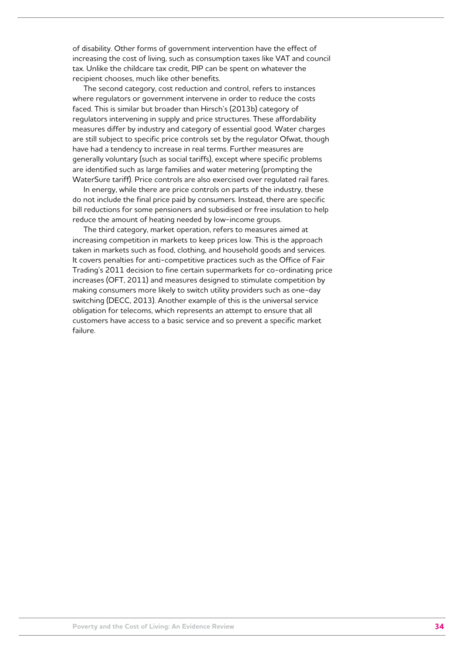of disability. Other forms of government intervention have the effect of increasing the cost of living, such as consumption taxes like VAT and council tax. Unlike the childcare tax credit, PIP can be spent on whatever the recipient chooses, much like other benefits.

The second category, cost reduction and control, refers to instances where regulators or government intervene in order to reduce the costs faced. This is similar but broader than Hirsch's (2013b) category of regulators intervening in supply and price structures. These affordability measures differ by industry and category of essential good. Water charges are still subject to specific price controls set by the regulator Ofwat, though have had a tendency to increase in real terms. Further measures are generally voluntary (such as social tariffs), except where specific problems are identified such as large families and water metering (prompting the WaterSure tariff). Price controls are also exercised over regulated rail fares.

In energy, while there are price controls on parts of the industry, these do not include the final price paid by consumers. Instead, there are specific bill reductions for some pensioners and subsidised or free insulation to help reduce the amount of heating needed by low-income groups.

The third category, market operation, refers to measures aimed at increasing competition in markets to keep prices low. This is the approach taken in markets such as food, clothing, and household goods and services. It covers penalties for anti-competitive practices such as the Office of Fair Trading's 2011 decision to fine certain supermarkets for co-ordinating price increases (OFT, 2011) and measures designed to stimulate competition by making consumers more likely to switch utility providers such as one-day switching (DECC, 2013). Another example of this is the universal service obligation for telecoms, which represents an attempt to ensure that all customers have access to a basic service and so prevent a specific market failure.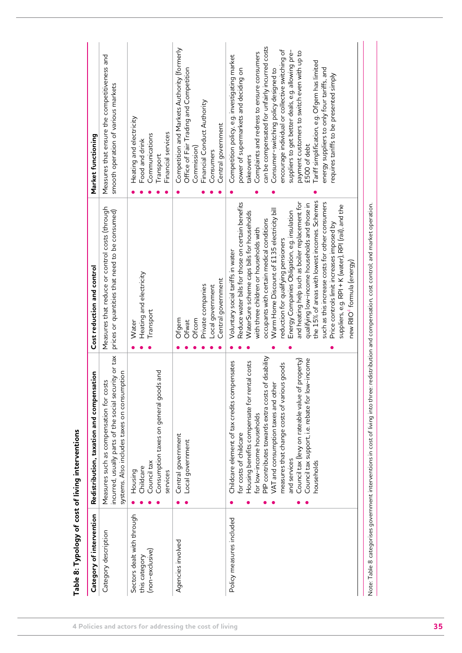| the 15% of areas with lowest incomes. Schemes<br>and heating help such as boiler replacement for<br>such as this increase costs for other consumers<br>Reduce water bills for those on certain benefits<br>qualifying low-income households and those in<br>Measures that reduce or control costs (through<br>Warm Home Discount of £135 electricity bill<br>prices or quantities that need to be consumed)<br>Energy Companies Obligation, e.g. insulation<br>WaterSure scheme caps bills for households<br>occupants with certain medical conditions<br>with three children or households with<br>reduction for qualifying pensioners<br>Voluntary social tariffs in water<br>Heating and electricity<br>Central government<br>Private companies<br>Local government<br>Transport<br>Ofcom<br>Ofgem<br>Water<br>Ofwat<br>incurred, usually parts of the social security or tax<br>PIP contributes towards extra costs of disability<br>property)<br>Council tax support, i.e. rebate for low-income<br>Childcare element of tax credits compensates<br>Housing benefits compensate for rental costs<br>measures that change costs of various goods<br><b>Pues</b><br>systems. Also includes taxes on consumption<br>Measures such as compensation for costs<br>VAT and consumption taxes and other<br>Consumption taxes on general good<br>Council tax (levy on rateable value of<br>for low-income households<br>for costs of childcare<br>Central government<br>Local government<br>and services<br>Council tax<br>households<br>Childcare<br>Housing<br>services<br>Sectors dealt with through<br>Policy measures included<br>Category description<br>Agencies involved<br>(non-exclusive)<br>this category | Measures that ensure the competitiveness and<br>smooth operation of various markets<br>Heating and electricity<br>Food and drink                                                                                                                                                                                                                                                                                                                                                                                                                              |
|------------------------------------------------------------------------------------------------------------------------------------------------------------------------------------------------------------------------------------------------------------------------------------------------------------------------------------------------------------------------------------------------------------------------------------------------------------------------------------------------------------------------------------------------------------------------------------------------------------------------------------------------------------------------------------------------------------------------------------------------------------------------------------------------------------------------------------------------------------------------------------------------------------------------------------------------------------------------------------------------------------------------------------------------------------------------------------------------------------------------------------------------------------------------------------------------------------------------------------------------------------------------------------------------------------------------------------------------------------------------------------------------------------------------------------------------------------------------------------------------------------------------------------------------------------------------------------------------------------------------------------------------------------------------------------------------------------------|---------------------------------------------------------------------------------------------------------------------------------------------------------------------------------------------------------------------------------------------------------------------------------------------------------------------------------------------------------------------------------------------------------------------------------------------------------------------------------------------------------------------------------------------------------------|
|                                                                                                                                                                                                                                                                                                                                                                                                                                                                                                                                                                                                                                                                                                                                                                                                                                                                                                                                                                                                                                                                                                                                                                                                                                                                                                                                                                                                                                                                                                                                                                                                                                                                                                                  |                                                                                                                                                                                                                                                                                                                                                                                                                                                                                                                                                               |
|                                                                                                                                                                                                                                                                                                                                                                                                                                                                                                                                                                                                                                                                                                                                                                                                                                                                                                                                                                                                                                                                                                                                                                                                                                                                                                                                                                                                                                                                                                                                                                                                                                                                                                                  | Financial services<br>Communications<br>Transport                                                                                                                                                                                                                                                                                                                                                                                                                                                                                                             |
|                                                                                                                                                                                                                                                                                                                                                                                                                                                                                                                                                                                                                                                                                                                                                                                                                                                                                                                                                                                                                                                                                                                                                                                                                                                                                                                                                                                                                                                                                                                                                                                                                                                                                                                  | Competition and Markets Authority (formerly<br>Office of Fair Trading and Competition<br>Financial Conduct Authority<br>Central government<br>Commission)<br>Consumers                                                                                                                                                                                                                                                                                                                                                                                        |
| suppliers, e.g. RPI + K (water), RPI (rail), and the<br>Price controls limit increases imposed by<br>new RIIO <sup>4</sup> formula (energy)                                                                                                                                                                                                                                                                                                                                                                                                                                                                                                                                                                                                                                                                                                                                                                                                                                                                                                                                                                                                                                                                                                                                                                                                                                                                                                                                                                                                                                                                                                                                                                      | can be compensated for unfairly incurred costs<br>encourage individual or collective switching of<br>suppliers to get better deals, e.g. allowing pre-<br>payment customers to switch even with up to<br>Complaints and redress to ensure consumers<br>Competition policy, e.g. investigating market<br>Tariff simplification, e.g. Ofgem has limited<br>energy suppliers to only four tariffs, and<br>Consumer-switching policy designed to<br>power of supermarkets and deciding on<br>requires tariffs to be presented simply<br>£500 of debt<br>takeovers |

| ۰,           |             |
|--------------|-------------|
|              | ۰.<br>an a  |
| ۰,<br>$\sim$ | ٠<br>$\sim$ |
|              |             |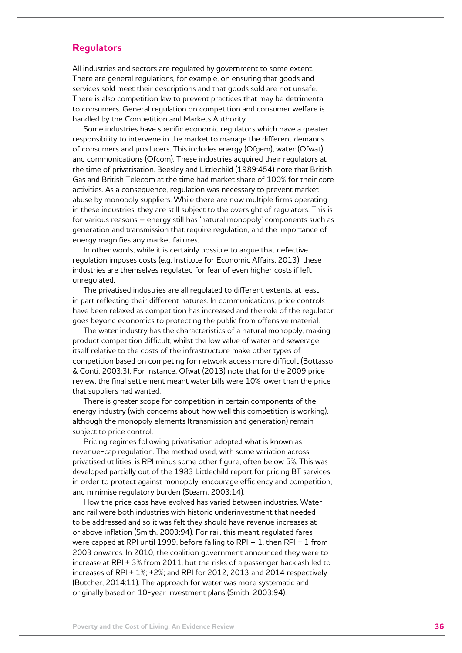## **Regulators**

All industries and sectors are regulated by government to some extent. There are general regulations, for example, on ensuring that goods and services sold meet their descriptions and that goods sold are not unsafe. There is also competition law to prevent practices that may be detrimental to consumers. General regulation on competition and consumer welfare is handled by the Competition and Markets Authority.

Some industries have specific economic regulators which have a greater responsibility to intervene in the market to manage the different demands of consumers and producers. This includes energy (Ofgem), water (Ofwat), and communications (Ofcom). These industries acquired their regulators at the time of privatisation. Beesley and Littlechild (1989:454) note that British Gas and British Telecom at the time had market share of 100% for their core activities. As a consequence, regulation was necessary to prevent market abuse by monopoly suppliers. While there are now multiple firms operating in these industries, they are still subject to the oversight of regulators. This is for various reasons – energy still has 'natural monopoly' components such as generation and transmission that require regulation, and the importance of energy magnifies any market failures.

In other words, while it is certainly possible to argue that defective regulation imposes costs (e.g. Institute for Economic Affairs, 2013), these industries are themselves regulated for fear of even higher costs if left unregulated.

The privatised industries are all regulated to different extents, at least in part reflecting their different natures. In communications, price controls have been relaxed as competition has increased and the role of the regulator goes beyond economics to protecting the public from offensive material.

The water industry has the characteristics of a natural monopoly, making product competition difficult, whilst the low value of water and sewerage itself relative to the costs of the infrastructure make other types of competition based on competing for network access more difficult (Bottasso & Conti, 2003:3). For instance, Ofwat (2013) note that for the 2009 price review, the final settlement meant water bills were 10% lower than the price that suppliers had wanted.

There is greater scope for competition in certain components of the energy industry (with concerns about how well this competition is working), although the monopoly elements (transmission and generation) remain subject to price control.

Pricing regimes following privatisation adopted what is known as revenue-cap regulation. The method used, with some variation across privatised utilities, is RPI minus some other figure, often below 5%. This was developed partially out of the 1983 Littlechild report for pricing BT services in order to protect against monopoly, encourage efficiency and competition, and minimise regulatory burden (Stearn, 2003:14).

How the price caps have evolved has varied between industries. Water and rail were both industries with historic underinvestment that needed to be addressed and so it was felt they should have revenue increases at or above inflation (Smith, 2003:94). For rail, this meant regulated fares were capped at RPI until 1999, before falling to RPI – 1, then RPI + 1 from 2003 onwards. In 2010, the coalition government announced they were to increase at RPI + 3% from 2011, but the risks of a passenger backlash led to increases of RPI + 1%; +2%; and RPI for 2012, 2013 and 2014 respectively (Butcher, 2014:11). The approach for water was more systematic and originally based on 10-year investment plans (Smith, 2003:94).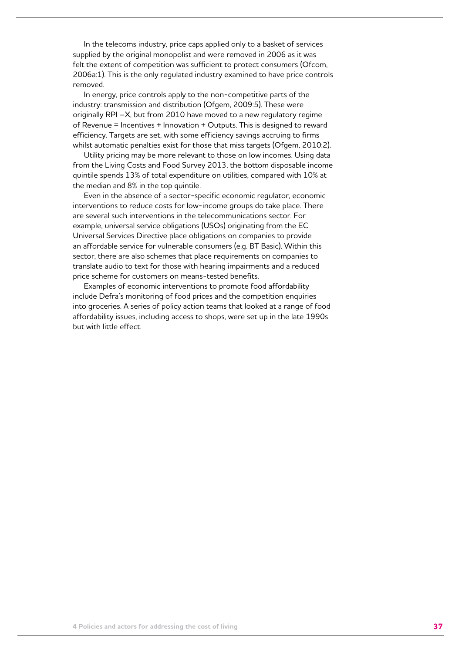In the telecoms industry, price caps applied only to a basket of services supplied by the original monopolist and were removed in 2006 as it was felt the extent of competition was sufficient to protect consumers (Ofcom, 2006a:1). This is the only regulated industry examined to have price controls removed.

In energy, price controls apply to the non-competitive parts of the industry: transmission and distribution (Ofgem, 2009:5). These were originally RPI –X, but from 2010 have moved to a new regulatory regime of Revenue = Incentives + Innovation + Outputs. This is designed to reward efficiency. Targets are set, with some efficiency savings accruing to firms whilst automatic penalties exist for those that miss targets (Ofgem, 2010:2).

Utility pricing may be more relevant to those on low incomes. Using data from the Living Costs and Food Survey 2013, the bottom disposable income quintile spends 13% of total expenditure on utilities, compared with 10% at the median and 8% in the top quintile.

Even in the absence of a sector-specific economic regulator, economic interventions to reduce costs for low-income groups do take place. There are several such interventions in the telecommunications sector. For example, universal service obligations (USOs) originating from the EC Universal Services Directive place obligations on companies to provide an affordable service for vulnerable consumers (e.g. BT Basic). Within this sector, there are also schemes that place requirements on companies to translate audio to text for those with hearing impairments and a reduced price scheme for customers on means-tested benefits.

Examples of economic interventions to promote food affordability include Defra's monitoring of food prices and the competition enquiries into groceries. A series of policy action teams that looked at a range of food affordability issues, including access to shops, were set up in the late 1990s but with little effect.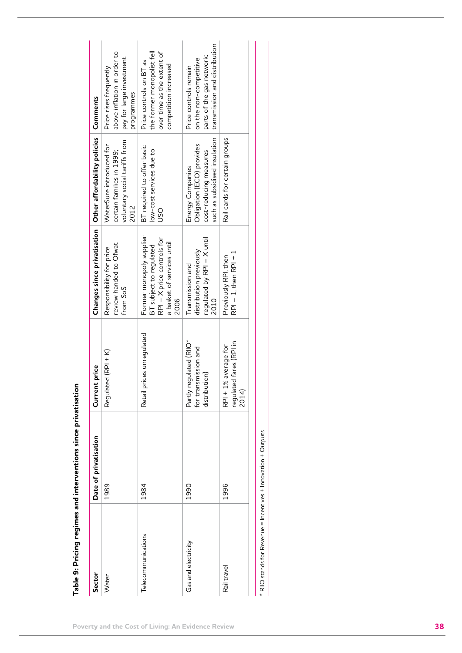|                                                                 | Table 9: Pricing regimes and interventions since privatisation |                                                                  |                                                                                                                         |                                                                                                          |                                                                                                               |
|-----------------------------------------------------------------|----------------------------------------------------------------|------------------------------------------------------------------|-------------------------------------------------------------------------------------------------------------------------|----------------------------------------------------------------------------------------------------------|---------------------------------------------------------------------------------------------------------------|
| Sector                                                          | Date of privatisation                                          | Current price                                                    |                                                                                                                         | Changes since privatisation   Other affordability policies   Comments                                    |                                                                                                               |
| Water                                                           | 1989                                                           | Regulated (RPI + K)                                              | review handed to Ofwat<br>Responsibility for price<br>from SoS                                                          | voluntary social tariffs from<br>WaterSure introduced for<br>certain families in 1999;<br>2012           | above inflation in order to<br>pay for large investment<br>Price rises frequently<br>programmes               |
| Telecommunications                                              | 1984                                                           | Retail prices unregulated                                        | Former monopoly supplier<br>RPI - X price controls for<br>a basket of services until<br>BT subject to regulated<br>2006 | BT required to offer basic<br>low-cost services due to<br>USO                                            | the former monopolist fell<br>over time as the extent of<br>Price controls on BT as<br>competition increased  |
| Gas and electricity                                             | 1990                                                           | Partly regulated (RIIO*<br>for transmission and<br>distribution) | regulated by RPI - X until<br>distribution previously<br>Transmission and<br>2010                                       | such as subsidised insulation<br>Obligation (ECO) provides<br>cost-reducing measures<br>Energy Companies | transmission and distribution<br>parts of the gas network:<br>on the non-competitive<br>Price controls remain |
| Rail travel                                                     | 1996                                                           | regulated fares (RPI in<br>RPI + 1% average for<br>2014)         | $RPI - 1$ , then $RPI + 1$<br>Previously RPI, then                                                                      | Rail cards for certain groups                                                                            |                                                                                                               |
| $*$ RIIO stands for Revenue = Incentives + Innovation + Outputs |                                                                |                                                                  |                                                                                                                         |                                                                                                          |                                                                                                               |

\* RIIO stands for Revenue = Incentives + Innovation + Outputs \* RIIO stands for Revenue = Incentives + Innovation + Outputs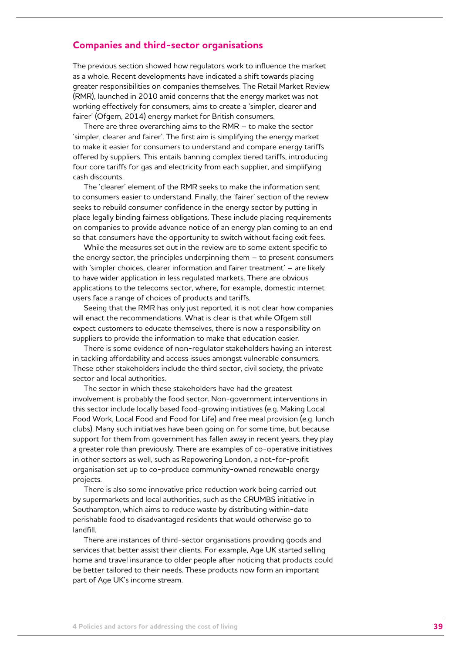### **Companies and third-sector organisations**

The previous section showed how regulators work to influence the market as a whole. Recent developments have indicated a shift towards placing greater responsibilities on companies themselves. The Retail Market Review (RMR), launched in 2010 amid concerns that the energy market was not working effectively for consumers, aims to create a 'simpler, clearer and fairer' (Ofgem, 2014) energy market for British consumers.

There are three overarching aims to the RMR – to make the sector 'simpler, clearer and fairer'. The first aim is simplifying the energy market to make it easier for consumers to understand and compare energy tariffs offered by suppliers. This entails banning complex tiered tariffs, introducing four core tariffs for gas and electricity from each supplier, and simplifying cash discounts.

The 'clearer' element of the RMR seeks to make the information sent to consumers easier to understand. Finally, the 'fairer' section of the review seeks to rebuild consumer confidence in the energy sector by putting in place legally binding fairness obligations. These include placing requirements on companies to provide advance notice of an energy plan coming to an end so that consumers have the opportunity to switch without facing exit fees.

While the measures set out in the review are to some extent specific to the energy sector, the principles underpinning them – to present consumers with 'simpler choices, clearer information and fairer treatment' – are likely to have wider application in less regulated markets. There are obvious applications to the telecoms sector, where, for example, domestic internet users face a range of choices of products and tariffs.

Seeing that the RMR has only just reported, it is not clear how companies will enact the recommendations. What is clear is that while Ofgem still expect customers to educate themselves, there is now a responsibility on suppliers to provide the information to make that education easier.

There is some evidence of non-regulator stakeholders having an interest in tackling affordability and access issues amongst vulnerable consumers. These other stakeholders include the third sector, civil society, the private sector and local authorities.

The sector in which these stakeholders have had the greatest involvement is probably the food sector. Non-government interventions in this sector include locally based food-growing initiatives (e.g. Making Local Food Work, Local Food and Food for Life) and free meal provision (e.g. lunch clubs). Many such initiatives have been going on for some time, but because support for them from government has fallen away in recent years, they play a greater role than previously. There are examples of co-operative initiatives in other sectors as well, such as Repowering London, a not-for-profit organisation set up to co-produce community-owned renewable energy projects.

There is also some innovative price reduction work being carried out by supermarkets and local authorities, such as the CRUMBS initiative in Southampton, which aims to reduce waste by distributing within-date perishable food to disadvantaged residents that would otherwise go to landfill.

There are instances of third-sector organisations providing goods and services that better assist their clients. For example, Age UK started selling home and travel insurance to older people after noticing that products could be better tailored to their needs. These products now form an important part of Age UK's income stream.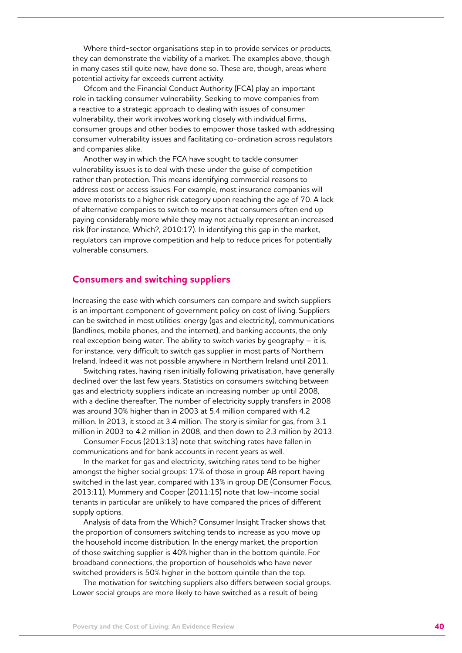Where third-sector organisations step in to provide services or products, they can demonstrate the viability of a market. The examples above, though in many cases still quite new, have done so. These are, though, areas where potential activity far exceeds current activity.

Ofcom and the Financial Conduct Authority (FCA) play an important role in tackling consumer vulnerability. Seeking to move companies from a reactive to a strategic approach to dealing with issues of consumer vulnerability, their work involves working closely with individual firms, consumer groups and other bodies to empower those tasked with addressing consumer vulnerability issues and facilitating co-ordination across regulators and companies alike.

Another way in which the FCA have sought to tackle consumer vulnerability issues is to deal with these under the guise of competition rather than protection. This means identifying commercial reasons to address cost or access issues. For example, most insurance companies will move motorists to a higher risk category upon reaching the age of 70. A lack of alternative companies to switch to means that consumers often end up paying considerably more while they may not actually represent an increased risk (for instance, Which?, 2010:17). In identifying this gap in the market, regulators can improve competition and help to reduce prices for potentially vulnerable consumers.

### **Consumers and switching suppliers**

Increasing the ease with which consumers can compare and switch suppliers is an important component of government policy on cost of living. Suppliers can be switched in most utilities: energy (gas and electricity), communications (landlines, mobile phones, and the internet), and banking accounts, the only real exception being water. The ability to switch varies by geography – it is, for instance, very difficult to switch gas supplier in most parts of Northern Ireland. Indeed it was not possible anywhere in Northern Ireland until 2011.

Switching rates, having risen initially following privatisation, have generally declined over the last few years. Statistics on consumers switching between gas and electricity suppliers indicate an increasing number up until 2008, with a decline thereafter. The number of electricity supply transfers in 2008 was around 30% higher than in 2003 at 5.4 million compared with 4.2 million. In 2013, it stood at 3.4 million. The story is similar for gas, from 3.1 million in 2003 to 4.2 million in 2008, and then down to 2.3 million by 2013.

Consumer Focus (2013:13) note that switching rates have fallen in communications and for bank accounts in recent years as well.

In the market for gas and electricity, switching rates tend to be higher amongst the higher social groups: 17% of those in group AB report having switched in the last year, compared with 13% in group DE (Consumer Focus, 2013:11). Mummery and Cooper (2011:15) note that low-income social tenants in particular are unlikely to have compared the prices of different supply options.

Analysis of data from the Which? Consumer Insight Tracker shows that the proportion of consumers switching tends to increase as you move up the household income distribution. In the energy market, the proportion of those switching supplier is 40% higher than in the bottom quintile. For broadband connections, the proportion of households who have never switched providers is 50% higher in the bottom quintile than the top.

The motivation for switching suppliers also differs between social groups. Lower social groups are more likely to have switched as a result of being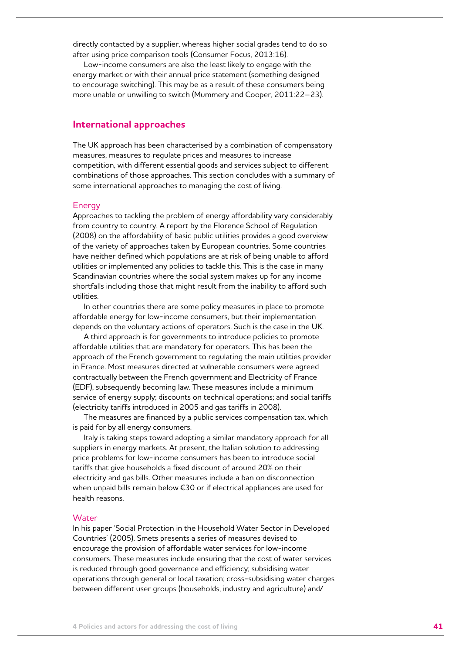directly contacted by a supplier, whereas higher social grades tend to do so after using price comparison tools (Consumer Focus, 2013:16).

Low-income consumers are also the least likely to engage with the energy market or with their annual price statement (something designed to encourage switching). This may be as a result of these consumers being more unable or unwilling to switch (Mummery and Cooper, 2011:22–23).

### **International approaches**

The UK approach has been characterised by a combination of compensatory measures, measures to regulate prices and measures to increase competition, with different essential goods and services subject to different combinations of those approaches. This section concludes with a summary of some international approaches to managing the cost of living.

#### Energy

Approaches to tackling the problem of energy affordability vary considerably from country to country. A report by the Florence School of Regulation (2008) on the affordability of basic public utilities provides a good overview of the variety of approaches taken by European countries. Some countries have neither defined which populations are at risk of being unable to afford utilities or implemented any policies to tackle this. This is the case in many Scandinavian countries where the social system makes up for any income shortfalls including those that might result from the inability to afford such utilities.

In other countries there are some policy measures in place to promote affordable energy for low-income consumers, but their implementation depends on the voluntary actions of operators. Such is the case in the UK.

A third approach is for governments to introduce policies to promote affordable utilities that are mandatory for operators. This has been the approach of the French government to regulating the main utilities provider in France. Most measures directed at vulnerable consumers were agreed contractually between the French government and Electricity of France (EDF), subsequently becoming law. These measures include a minimum service of energy supply; discounts on technical operations; and social tariffs (electricity tariffs introduced in 2005 and gas tariffs in 2008).

The measures are financed by a public services compensation tax, which is paid for by all energy consumers.

Italy is taking steps toward adopting a similar mandatory approach for all suppliers in energy markets. At present, the Italian solution to addressing price problems for low-income consumers has been to introduce social tariffs that give households a fixed discount of around 20% on their electricity and gas bills. Other measures include a ban on disconnection when unpaid bills remain below €30 or if electrical appliances are used for health reasons.

#### **Water**

In his paper 'Social Protection in the Household Water Sector in Developed Countries' (2005), Smets presents a series of measures devised to encourage the provision of affordable water services for low-income consumers. These measures include ensuring that the cost of water services is reduced through good governance and efficiency; subsidising water operations through general or local taxation; cross-subsidising water charges between different user groups (households, industry and agriculture) and/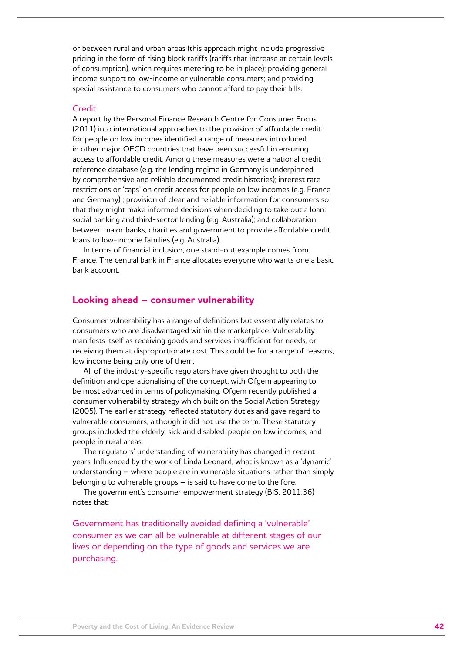or between rural and urban areas (this approach might include progressive pricing in the form of rising block tariffs (tariffs that increase at certain levels of consumption), which requires metering to be in place); providing general income support to low-income or vulnerable consumers; and providing special assistance to consumers who cannot afford to pay their bills.

#### Credit

A report by the Personal Finance Research Centre for Consumer Focus (2011) into international approaches to the provision of affordable credit for people on low incomes identified a range of measures introduced in other major OECD countries that have been successful in ensuring access to affordable credit. Among these measures were a national credit reference database (e.g. the lending regime in Germany is underpinned by comprehensive and reliable documented credit histories); interest rate restrictions or 'caps' on credit access for people on low incomes (e.g. France and Germany) ; provision of clear and reliable information for consumers so that they might make informed decisions when deciding to take out a loan; social banking and third-sector lending (e.g. Australia); and collaboration between major banks, charities and government to provide affordable credit loans to low-income families (e.g. Australia).

In terms of financial inclusion, one stand-out example comes from France. The central bank in France allocates everyone who wants one a basic bank account.

### **Looking ahead – consumer vulnerability**

Consumer vulnerability has a range of definitions but essentially relates to consumers who are disadvantaged within the marketplace. Vulnerability manifests itself as receiving goods and services insufficient for needs, or receiving them at disproportionate cost. This could be for a range of reasons, low income being only one of them.

All of the industry-specific regulators have given thought to both the definition and operationalising of the concept, with Ofgem appearing to be most advanced in terms of policymaking. Ofgem recently published a consumer vulnerability strategy which built on the Social Action Strategy (2005). The earlier strategy reflected statutory duties and gave regard to vulnerable consumers, although it did not use the term. These statutory groups included the elderly, sick and disabled, people on low incomes, and people in rural areas.

The regulators' understanding of vulnerability has changed in recent years. Influenced by the work of Linda Leonard, what is known as a 'dynamic' understanding – where people are in vulnerable situations rather than simply belonging to vulnerable groups – is said to have come to the fore.

The government's consumer empowerment strategy (BIS, 2011:36) notes that:

Government has traditionally avoided defining a 'vulnerable' consumer as we can all be vulnerable at different stages of our lives or depending on the type of goods and services we are purchasing.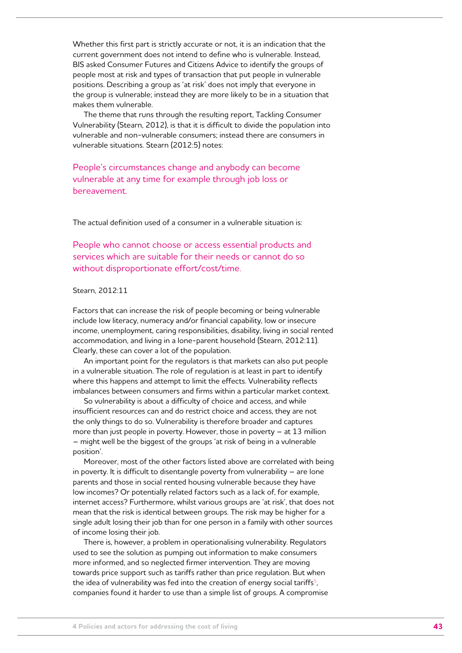Whether this first part is strictly accurate or not, it is an indication that the current government does not intend to define who is vulnerable. Instead, BIS asked Consumer Futures and Citizens Advice to identify the groups of people most at risk and types of transaction that put people in vulnerable positions. Describing a group as 'at risk' does not imply that everyone in the group is vulnerable; instead they are more likely to be in a situation that makes them vulnerable.

The theme that runs through the resulting report, Tackling Consumer Vulnerability (Stearn, 2012), is that it is difficult to divide the population into vulnerable and non-vulnerable consumers; instead there are consumers in vulnerable situations. Stearn (2012:5) notes:

People's circumstances change and anybody can become vulnerable at any time for example through job loss or bereavement.

The actual definition used of a consumer in a vulnerable situation is:

People who cannot choose or access essential products and services which are suitable for their needs or cannot do so without disproportionate effort/cost/time.

### Stearn, 2012:11

Factors that can increase the risk of people becoming or being vulnerable include low literacy, numeracy and/or financial capability, low or insecure income, unemployment, caring responsibilities, disability, living in social rented accommodation, and living in a lone-parent household (Stearn, 2012:11). Clearly, these can cover a lot of the population.

An important point for the regulators is that markets can also put people in a vulnerable situation. The role of regulation is at least in part to identify where this happens and attempt to limit the effects. Vulnerability reflects imbalances between consumers and firms within a particular market context.

So vulnerability is about a difficulty of choice and access, and while insufficient resources can and do restrict choice and access, they are not the only things to do so. Vulnerability is therefore broader and captures more than just people in poverty. However, those in poverty – at 13 million – might well be the biggest of the groups 'at risk of being in a vulnerable position'.

Moreover, most of the other factors listed above are correlated with being in poverty. It is difficult to disentangle poverty from vulnerability – are lone parents and those in social rented housing vulnerable because they have low incomes? Or potentially related factors such as a lack of, for example, internet access? Furthermore, whilst various groups are 'at risk', that does not mean that the risk is identical between groups. The risk may be higher for a single adult losing their job than for one person in a family with other sources of income losing their job.

There is, however, a problem in operationalising vulnerability. Regulators used to see the solution as pumping out information to make consumers more informed, and so neglected firmer intervention. They are moving towards price support such as tariffs rather than price regulation. But when the idea of vulnerability was fed into the creation of energy social tariffs<sup>5</sup>, companies found it harder to use than a simple list of groups. A compromise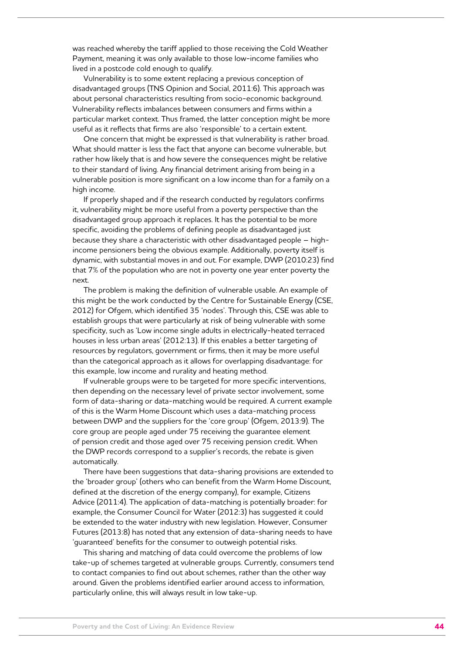was reached whereby the tariff applied to those receiving the Cold Weather Payment, meaning it was only available to those low-income families who lived in a postcode cold enough to qualify.

Vulnerability is to some extent replacing a previous conception of disadvantaged groups (TNS Opinion and Social, 2011:6). This approach was about personal characteristics resulting from socio-economic background. Vulnerability reflects imbalances between consumers and firms within a particular market context. Thus framed, the latter conception might be more useful as it reflects that firms are also 'responsible' to a certain extent.

One concern that might be expressed is that vulnerability is rather broad. What should matter is less the fact that anyone can become vulnerable, but rather how likely that is and how severe the consequences might be relative to their standard of living. Any financial detriment arising from being in a vulnerable position is more significant on a low income than for a family on a high income.

If properly shaped and if the research conducted by regulators confirms it, vulnerability might be more useful from a poverty perspective than the disadvantaged group approach it replaces. It has the potential to be more specific, avoiding the problems of defining people as disadvantaged just because they share a characteristic with other disadvantaged people – highincome pensioners being the obvious example. Additionally, poverty itself is dynamic, with substantial moves in and out. For example, DWP (2010:23) find that 7% of the population who are not in poverty one year enter poverty the next.

The problem is making the definition of vulnerable usable. An example of this might be the work conducted by the Centre for Sustainable Energy (CSE, 2012) for Ofgem, which identified 35 'nodes'. Through this, CSE was able to establish groups that were particularly at risk of being vulnerable with some specificity, such as 'Low income single adults in electrically-heated terraced houses in less urban areas' (2012:13). If this enables a better targeting of resources by regulators, government or firms, then it may be more useful than the categorical approach as it allows for overlapping disadvantage: for this example, low income and rurality and heating method.

If vulnerable groups were to be targeted for more specific interventions, then depending on the necessary level of private sector involvement, some form of data-sharing or data-matching would be required. A current example of this is the Warm Home Discount which uses a data-matching process between DWP and the suppliers for the 'core group' (Ofgem, 2013:9). The core group are people aged under 75 receiving the guarantee element of pension credit and those aged over 75 receiving pension credit. When the DWP records correspond to a supplier's records, the rebate is given automatically.

There have been suggestions that data-sharing provisions are extended to the 'broader group' (others who can benefit from the Warm Home Discount, defined at the discretion of the energy company), for example, Citizens Advice (2011:4). The application of data-matching is potentially broader: for example, the Consumer Council for Water (2012:3) has suggested it could be extended to the water industry with new legislation. However, Consumer Futures (2013:8) has noted that any extension of data-sharing needs to have 'guaranteed' benefits for the consumer to outweigh potential risks.

This sharing and matching of data could overcome the problems of low take-up of schemes targeted at vulnerable groups. Currently, consumers tend to contact companies to find out about schemes, rather than the other way around. Given the problems identified earlier around access to information, particularly online, this will always result in low take-up.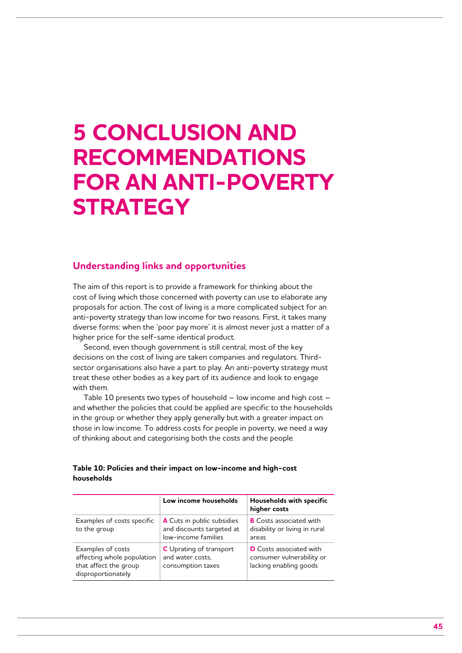## **5 Conclusion and recommendations for an anti-poverty strategy**

## **Understanding links and opportunities**

The aim of this report is to provide a framework for thinking about the cost of living which those concerned with poverty can use to elaborate any proposals for action. The cost of living is a more complicated subject for an anti-poverty strategy than low income for two reasons. First, it takes many diverse forms: when the 'poor pay more' it is almost never just a matter of a higher price for the self-same identical product.

Second, even though government is still central, most of the key decisions on the cost of living are taken companies and regulators. Thirdsector organisations also have a part to play. An anti-poverty strategy must treat these other bodies as a key part of its audience and look to engage with them.

Table 10 presents two types of household – low income and high cost – and whether the policies that could be applied are specific to the households in the group or whether they apply generally but with a greater impact on those in low income. To address costs for people in poverty, we need a way of thinking about and categorising both the costs and the people.

#### **Table 10: Policies and their impact on low-income and high-cost households**

|                                                                                                | Low income households                                                          | Households with specific<br>higher costs                                              |
|------------------------------------------------------------------------------------------------|--------------------------------------------------------------------------------|---------------------------------------------------------------------------------------|
| Examples of costs specific<br>to the group                                                     | A Cuts in public subsidies<br>and discounts targeted at<br>low-income families | <b>B</b> Costs associated with<br>disability or living in rural<br>areas              |
| Examples of costs<br>affecting whole population<br>that affect the group<br>disproportionately | <b>C</b> Uprating of transport<br>and water costs.<br>consumption taxes        | <b>D</b> Costs associated with<br>consumer vulnerability or<br>lacking enabling goods |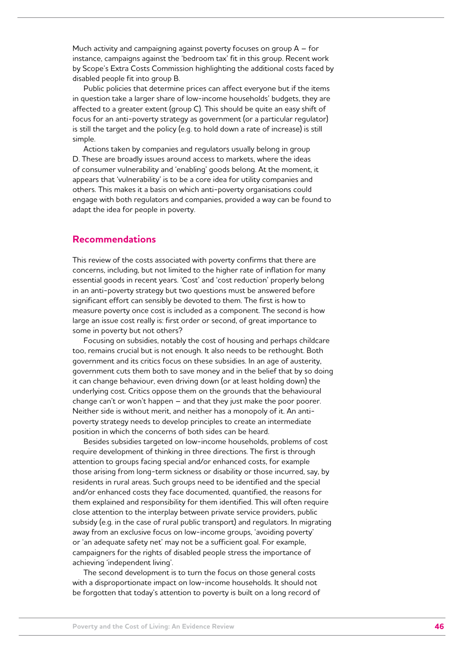Much activity and campaigning against poverty focuses on group A – for instance, campaigns against the 'bedroom tax' fit in this group. Recent work by Scope's Extra Costs Commission highlighting the additional costs faced by disabled people fit into group B.

Public policies that determine prices can affect everyone but if the items in question take a larger share of low-income households' budgets, they are affected to a greater extent (group C). This should be quite an easy shift of focus for an anti-poverty strategy as government (or a particular regulator) is still the target and the policy (e.g. to hold down a rate of increase) is still simple.

Actions taken by companies and regulators usually belong in group D. These are broadly issues around access to markets, where the ideas of consumer vulnerability and 'enabling' goods belong. At the moment, it appears that 'vulnerability' is to be a core idea for utility companies and others. This makes it a basis on which anti-poverty organisations could engage with both regulators and companies, provided a way can be found to adapt the idea for people in poverty.

## **Recommendations**

This review of the costs associated with poverty confirms that there are concerns, including, but not limited to the higher rate of inflation for many essential goods in recent years. 'Cost' and 'cost reduction' properly belong in an anti-poverty strategy but two questions must be answered before significant effort can sensibly be devoted to them. The first is how to measure poverty once cost is included as a component. The second is how large an issue cost really is: first order or second, of great importance to some in poverty but not others?

Focusing on subsidies, notably the cost of housing and perhaps childcare too, remains crucial but is not enough. It also needs to be rethought. Both government and its critics focus on these subsidies. In an age of austerity, government cuts them both to save money and in the belief that by so doing it can change behaviour, even driving down (or at least holding down) the underlying cost. Critics oppose them on the grounds that the behavioural change can't or won't happen – and that they just make the poor poorer. Neither side is without merit, and neither has a monopoly of it. An antipoverty strategy needs to develop principles to create an intermediate position in which the concerns of both sides can be heard.

Besides subsidies targeted on low-income households, problems of cost require development of thinking in three directions. The first is through attention to groups facing special and/or enhanced costs, for example those arising from long-term sickness or disability or those incurred, say, by residents in rural areas. Such groups need to be identified and the special and/or enhanced costs they face documented, quantified, the reasons for them explained and responsibility for them identified. This will often require close attention to the interplay between private service providers, public subsidy (e.g. in the case of rural public transport) and regulators. In migrating away from an exclusive focus on low-income groups, 'avoiding poverty' or 'an adequate safety net' may not be a sufficient goal. For example, campaigners for the rights of disabled people stress the importance of achieving 'independent living'.

The second development is to turn the focus on those general costs with a disproportionate impact on low-income households. It should not be forgotten that today's attention to poverty is built on a long record of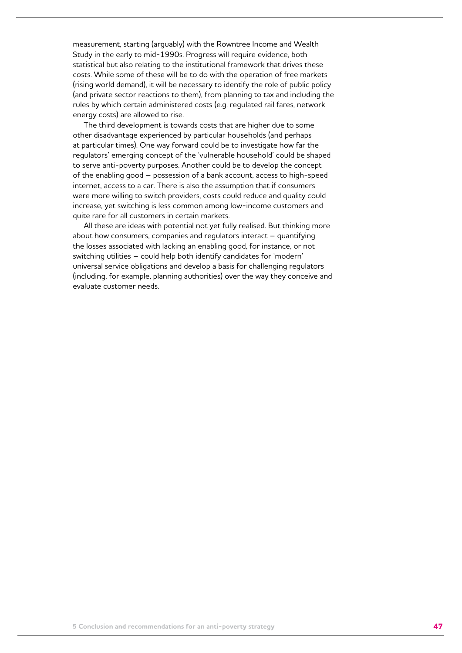measurement, starting (arguably) with the Rowntree Income and Wealth Study in the early to mid-1990s. Progress will require evidence, both statistical but also relating to the institutional framework that drives these costs. While some of these will be to do with the operation of free markets (rising world demand), it will be necessary to identify the role of public policy (and private sector reactions to them), from planning to tax and including the rules by which certain administered costs (e.g. regulated rail fares, network energy costs) are allowed to rise.

The third development is towards costs that are higher due to some other disadvantage experienced by particular households (and perhaps at particular times). One way forward could be to investigate how far the regulators' emerging concept of the 'vulnerable household' could be shaped to serve anti-poverty purposes. Another could be to develop the concept of the enabling good – possession of a bank account, access to high-speed internet, access to a car. There is also the assumption that if consumers were more willing to switch providers, costs could reduce and quality could increase, yet switching is less common among low-income customers and quite rare for all customers in certain markets.

All these are ideas with potential not yet fully realised. But thinking more about how consumers, companies and regulators interact – quantifying the losses associated with lacking an enabling good, for instance, or not switching utilities – could help both identify candidates for 'modern' universal service obligations and develop a basis for challenging regulators (including, for example, planning authorities) over the way they conceive and evaluate customer needs.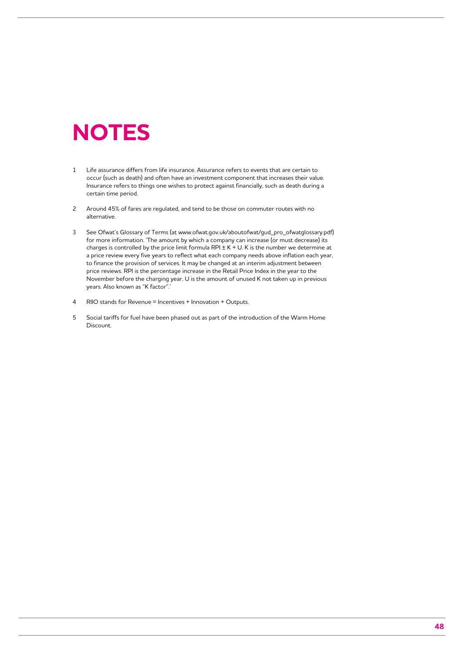## **Notes**

- 1 Life assurance differs from life insurance. Assurance refers to events that are certain to occur (such as death) and often have an investment component that increases their value. Insurance refers to things one wishes to protect against financially, such as death during a certain time period.
- 2 Around 45% of fares are regulated, and tend to be those on commuter routes with no alternative.
- 3 See Ofwat's Glossary of Terms (at www.ofwat.gov.uk/aboutofwat/gud\_pro\_ofwatglossary.pdf) for more information. 'The amount by which a company can increase (or must decrease) its charges is controlled by the price limit formula RPI  $\pm$  K + U. K is the number we determine at a price review every five years to reflect what each company needs above inflation each year, to finance the provision of services. It may be changed at an interim adjustment between price reviews. RPI is the percentage increase in the Retail Price Index in the year to the November before the charging year. U is the amount of unused K not taken up in previous years. Also known as "K factor".
- 4 RIIO stands for Revenue = Incentives + Innovation + Outputs.
- 5 Social tariffs for fuel have been phased out as part of the introduction of the Warm Home Discount.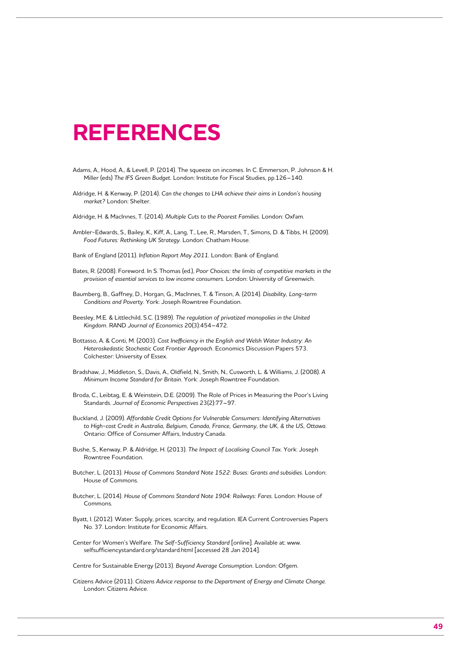## **References**

- Adams, A., Hood, A., & Levell, P. (2014). The squeeze on incomes. In C. Emmerson, P. Johnson & H. Miller (eds) *The IFS Green Budget.* London: Institute for Fiscal Studies, pp.126–140.
- Aldridge, H. & Kenway, P. (2014). *Can the changes to LHA achieve their aims in London's housing market?* London: Shelter.

Aldridge, H. & MacInnes, T. (2014). *Multiple Cuts to the Poorest Families.* London: Oxfam.

Ambler-Edwards, S., Bailey, K., Kiff, A., Lang, T., Lee, R., Marsden, T., Simons, D. & Tibbs, H. (2009). *Food Futures: Rethinking UK Strategy.* London: Chatham House.

Bank of England (2011). *Inflation Report May 2011.* London: Bank of England.

- Bates, R. (2008). Foreword. In S. Thomas (ed.), *Poor Choices: the limits of competitive markets in the provision of essential services to low income consumers.* London: University of Greenwich.
- Baumberg, B., Gaffney, D., Horgan, G., MacInnes, T. & Tinson, A. (2014). *Disability, Long-term Conditions and Poverty.* York: Joseph Rowntree Foundation.
- Beesley, M.E. & Littlechild, S.C. (1989). *The regulation of privatized monopolies in the United Kingdom.* RAND *Journal of Economics* 20(3):454–472.
- Bottasso, A. & Conti, M. (2003). *Cost Inefficiency in the English and Welsh Water Industry: An Heteroskedastic Stochastic Cost Frontier Approach.* Economics Discussion Papers 573. Colchester: University of Essex.
- Bradshaw, J., Middleton, S., Davis, A., Oldfield, N., Smith, N., Cusworth, L. & Williams, J. (2008). *A Minimum Income Standard for Britain.* York: Joseph Rowntree Foundation.
- Broda, C., Leibtag, E. & Weinstein, D.E. (2009). The Role of Prices in Measuring the Poor's Living Standards. *Journal of Economic Perspectives* 23(2):77–97.
- Buckland, J. (2009). *Affordable Credit Options for Vulnerable Consumers: Identifying Alternatives to High-cost Credit in Australia, Belgium, Canada, France, Germany, the UK, & the US, Ottawa.*  Ontario: Office of Consumer Affairs, Industry Canada.
- Bushe, S., Kenway, P. & Aldridge, H. (2013). *The Impact of Localising Council Tax.* York: Joseph Rowntree Foundation.
- Butcher, L. (2013). *House of Commons Standard Note 1522: Buses: Grants and subsidies.* London: House of Commons.
- Butcher, L. (2014). *House of Commons Standard Note 1904: Railways: Fares.* London: House of Commons.
- Byatt, I. (2012). Water: Supply, prices, scarcity, and regulation. IEA Current Controversies Papers No. 37. London: Institute for Economic Affairs.
- Center for Women's Welfare. *The Self-Sufficiency Standard* [online]. Available at: www. selfsufficiencystandard.org/standard.html [accessed 28 Jan 2014].

Centre for Sustainable Energy (2013). *Beyond Average Consumption.* London: Ofgem.

Citizens Advice (2011). *Citizens Advice response to the Department of Energy and Climate Change.* London: Citizens Advice.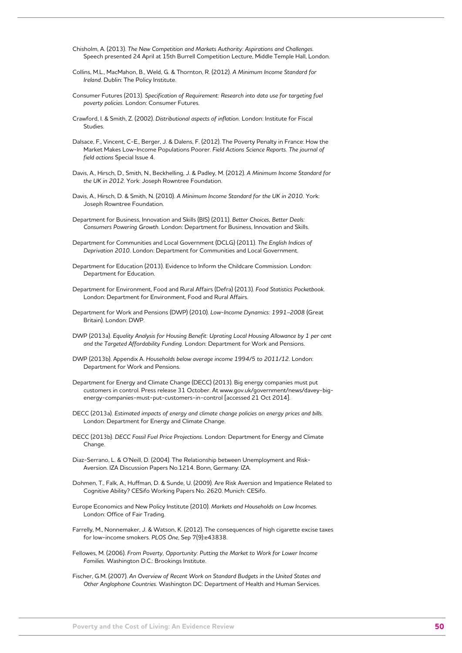- Chisholm, A. (2013). *The New Competition and Markets Authority: Aspirations and Challenges.*  Speech presented 24 April at 15th Burrell Competition Lecture, Middle Temple Hall, London.
- Collins, M.L., MacMahon, B., Weld, G. & Thornton, R. (2012). *A Minimum Income Standard for Ireland.* Dublin: The Policy Institute.
- Consumer Futures (2013). *Specification of Requirement: Research into data use for targeting fuel poverty policies.* London: Consumer Futures.
- Crawford, I. & Smith, Z. (2002). *Distributional aspects of inflation.* London: Institute for Fiscal Studies.
- Dalsace, F., Vincent, C-E., Berger, J. & Dalens, F. (2012). The Poverty Penalty in France: How the Market Makes Low-Income Populations Poorer. *Field Actions Science Reports. The journal of field actions* Special Issue 4.
- Davis, A., Hirsch, D., Smith, N., Beckhelling, J. & Padley, M. (2012). *A Minimum Income Standard for the UK in 2012*. York: Joseph Rowntree Foundation.
- Davis, A., Hirsch, D. & Smith, N. (2010). *A Minimum Income Standard for the UK in 2010.* York: Joseph Rowntree Foundation.
- Department for Business, Innovation and Skills (BIS) (2011). *Better Choices, Better Deals: Consumers Powering Growth.* London: Department for Business, Innovation and Skills.
- Department for Communities and Local Government (DCLG) (2011). *The English Indices of Deprivation 2010.* London: Department for Communities and Local Government.
- Department for Education (2013). Evidence to Inform the Childcare Commission. London: Department for Education.
- Department for Environment, Food and Rural Affairs (Defra) (2013). *Food Statistics Pocketbook.*  London: Department for Environment, Food and Rural Affairs.
- Department for Work and Pensions (DWP) (2010). *Low-Income Dynamics: 1991–2008* (Great Britain). London: DWP.
- DWP (2013a). *Equality Analysis for Housing Benefit: Uprating Local Housing Allowance by 1 per cent and the Targeted Affordability Funding.* London: Department for Work and Pensions.
- DWP (2013b). Appendix A. *Households below average income 1994/5 to 2011/12.* London: Department for Work and Pensions.
- Department for Energy and Climate Change (DECC) (2013). Big energy companies must put customers in control. Press release 31 October. At www.gov.uk/government/news/davey-bigenergy-companies-must-put-customers-in-control [accessed 21 Oct 2014].
- DECC (2013a). *Estimated impacts of energy and climate change policies on energy prices and bills.*  London: Department for Energy and Climate Change.
- DECC (2013b). *DECC Fossil Fuel Price Projections.* London: Department for Energy and Climate **Change**
- Diaz-Serrano, L. & O'Neill, D. (2004). The Relationship between Unemployment and Risk-Aversion. IZA Discussion Papers No.1214. Bonn, Germany: IZA.
- Dohmen, T., Falk, A., Huffman, D. & Sunde, U. (2009). Are Risk Aversion and Impatience Related to Cognitive Ability? CESifo Working Papers No. 2620. Munich: CESifo.
- Europe Economics and New Policy Institute (2010). *Markets and Households on Low Incomes.*  London: Office of Fair Trading.
- Farrelly, M., Nonnemaker, J. & Watson, K. (2012). The consequences of high cigarette excise taxes for low-income smokers. *PLOS One*, Sep 7(9):e43838.
- Fellowes, M. (2006). *From Poverty, Opportunity: Putting the Market to Work for Lower Income Families.* Washington D.C.: Brookings Institute.
- Fischer, G.M. (2007). *An Overview of Recent Work on Standard Budgets in the United States and Other Anglophone Countries.* Washington DC: Department of Health and Human Services.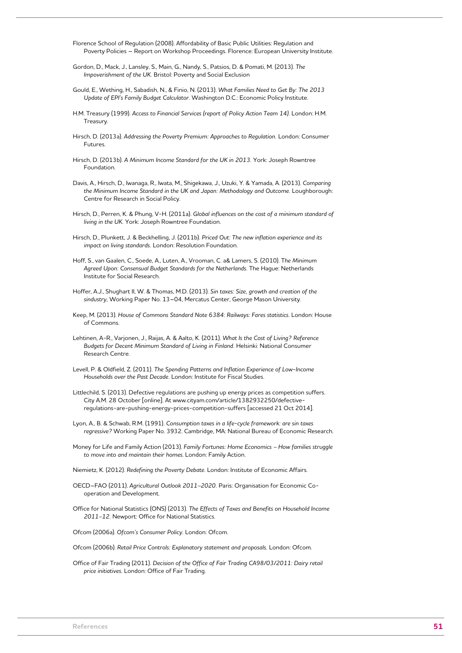- Florence School of Regulation (2008). Affordability of Basic Public Utilities: Regulation and Poverty Policies – Report on Workshop Proceedings. Florence: European University Institute.
- Gordon, D., Mack, J., Lansley, S., Main, G., Nandy, S., Patsios, D. & Pomati, M. (2013). *The Impoverishment of the UK.* Bristol: Poverty and Social Exclusion
- Gould, E., Wething, H., Sabadish, N., & Finio, N. (2013). *What Families Need to Get By: The 2013 Update of EPI's Family Budget Calculator.* Washington D.C.: Economic Policy Institute.
- H.M. Treasury (1999). *Access to Financial Services (report of Policy Action Team 14).* London: H.M. Treasury.
- Hirsch, D. (2013a). *Addressing the Poverty Premium: Approaches to Regulation.* London: Consumer Futures.
- Hirsch, D. (2013b). *A Minimum Income Standard for the UK in 2013.* York: Joseph Rowntree Foundation.
- Davis, A., Hirsch, D., Iwanaga, R., Iwata, M., Shigekawa, J., Uzuki, Y. & Yamada, A. (2013). *Comparing*  the Minimum Income Standard in the UK and Japan: Methodology and Outcome. Loughborough: Centre for Research in Social Policy.
- Hirsch, D., Perren, K. & Phung, V-H. (2011a). *Global influences on the cost of a minimum standard of living in the UK.* York: Joseph Rowntree Foundation.
- Hirsch, D., Plunkett, J. & Beckhelling, J. (2011b). *Priced Out: The new inflation experience and its impact on living standards.* London: Resolution Foundation.
- Hoff, S., van Gaalen, C., Soede, A., Luten, A., Vrooman, C. a& Lamers, S. (2010). T*he Minimum Agreed Upon: Consensual Budget Standards for the Netherlands.* The Hague: Netherlands Institute for Social Research.
- Hoffer, A.J., Shughart II, W. & Thomas, M.D. (2013). *Sin taxes: Size, growth and creation of the sindustry,* Working Paper No. 13–04, Mercatus Center, George Mason University.
- Keep, M. (2013). *House of Commons Standard Note 6384: Railways: Fares statistics.* London: House of Commons.
- Lehtinen, A-R., Varjonen, J., Raijas, A. & Aalto, K. (2011). *What Is the Cost of Living? Reference Budgets for Decent Minimum Standard of Living in Finland.* Helsinki: National Consumer Research Centre.
- Levell, P. & Oldfield, Z. (2011). *The Spending Patterns and Inflation Experience of Low-Income Households over the Past Decade.* London: Institute for Fiscal Studies.
- Littlechild, S. (2013). Defective regulations are pushing up energy prices as competition suffers. City A.M. 28 October [online]. At www.cityam.com/article/1382932250/defectiveregulations-are-pushing-energy-prices-competition-suffers [accessed 21 Oct 2014].
- Lyon, A., B. & Schwab, R.M. (1991). *Consumption taxes in a life-cycle framework: are sin taxes regressive?* Working Paper No. 3932. Cambridge, MA: National Bureau of Economic Research.
- Money for Life and Family Action (2013). *Family Fortunes: Home Economics How families struggle to move into and maintain their homes*. London: Family Action.
- Niemietz, K. (2012). *Redefining the Poverty Debate.* London: Institute of Economic Affairs.
- OECD–FAO (2011). *Agricultural Outlook 2011–2020.* Paris: Organisation for Economic Cooperation and Development.
- Office for National Statistics (ONS) (2013). *The Effects of Taxes and Benefits on Household Income 2011–12.* Newport: Office for National Statistics.

Ofcom (2006a). *Ofcom's Consumer Policy.* London: Ofcom.

- Ofcom (2006b). *Retail Price Controls: Explanatory statement and proposals.* London: Ofcom.
- Office of Fair Trading (2011). *Decision of the Office of Fair Trading CA98/03/2011: Dairy retail price initiatives.* London: Office of Fair Trading.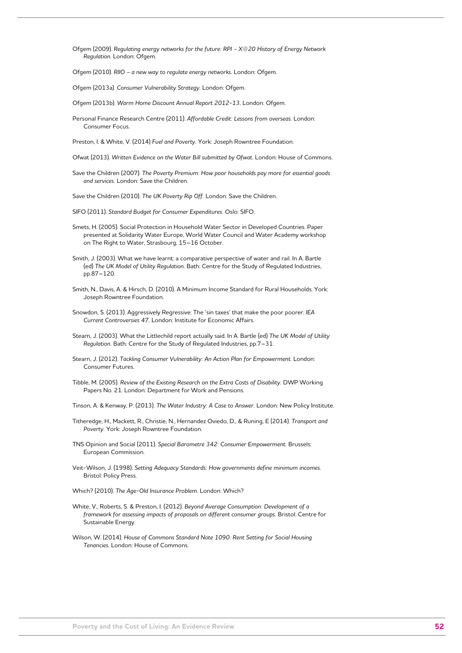Ofgem (2009). *Regulating energy networks for the future: RPI – X@20 History of Energy Network Regulation*. London: Ofgem.

Ofgem (2010). *RIIO – a new way to regulate energy networks.* London: Ofgem.

Ofgem (2013a). *Consumer Vulnerability Strategy.* London: Ofgem.

Ofgem (2013b). *Warm Home Discount Annual Report 2012-13.* London: Ofgem.

Personal Finance Research Centre (2011). *Affordable Credit: Lessons from overseas.* London: Consumer Focus.

Preston, I. & White, V. (2014) *Fuel and Poverty.* York: Joseph Rowntree Foundation.

Ofwat (2013). *Written Evidence on the Water Bill submitted by Ofwat.* London: House of Commons.

Save the Children (2007). *The Poverty Premium: How poor households pay more for essential goods and services.* London: Save the Children.

Save the Children (2010). *The UK Poverty Rip Off.* London: Save the Children.

SIFO (2011). *Standard Budget for Consumer Expenditures.* Oslo: SIFO.

Smets, H. (2005). Social Protection in Household Water Sector in Developed Countries. Paper presented at Solidarity Water Europe, World Water Council and Water Academy workshop on The Right to Water, Strasbourg, 15–16 October.

Smith, J. (2003). What we have learnt: a comparative perspective of water and rail. In A. Bartle (ed) *The UK Model of Utility Regulation.* Bath: Centre for the Study of Regulated Industries, pp.87–120.

- Smith, N., Davis, A. & Hirsch, D. (2010). A Minimum Income Standard for Rural Households. York: Joseph Rowntree Foundation.
- Snowdon, S. (2013). Aggressively Regressive: The 'sin taxes' that make the poor poorer. *IEA Current Controversies 47.* London: Institute for Economic Affairs.
- Stearn, J. (2003). What the Littlechild report actually said. In A. Bartle (ed) *The UK Model of Utility Regulation.* Bath: Centre for the Study of Regulated Industries, pp.7–31.
- Stearn, J. (2012). *Tackling Consumer Vulnerability: An Action Plan for Empowerment.* London: Consumer Futures.
- Tibble, M. (2005). *Review of the Existing Research on the Extra Costs of Disability.* DWP Working Papers No. 21. London: Department for Work and Pensions.

Tinson, A. & Kenway, P. (2013). *The Water Industry: A Case to Answer.* London: New Policy Institute.

- Titheredge, H., Mackett, R., Christie, N., Hernandez Oviedo, D., & Runing, E (2014). *Transport and Poverty.* York: Joseph Rowntree Foundation.
- TNS Opinion and Social (2011). *Special Barometre 342: Consumer Empowerment.* Brussels: European Commission.
- Veit-Wilson, J. (1998). *Setting Adequacy Standards: How governments define minimum incomes.*  Bristol: Policy Press.
- Which? (2010). *The Age-Old Insurance Problem.* London: Which?
- White, V., Roberts, S. & Preston, I. (2012). *Beyond Average Consumption: Development of a framework for assessing impacts of proposals on different consumer groups.* Bristol: Centre for Sustainable Energy.

Wilson, W. (2014). *House of Commons Standard Note 1090: Rent Setting for Social Housing Tenancies.* London: House of Commons.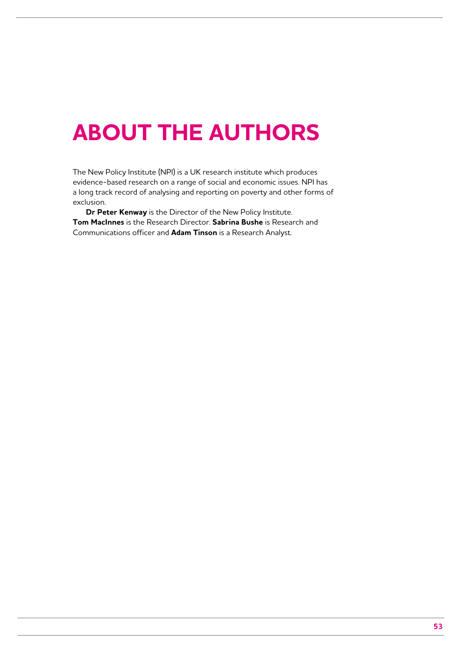## **About The AuthorS**

The New Policy Institute (NPI) is a UK research institute which produces evidence-based research on a range of social and economic issues. NPI has a long track record of analysing and reporting on poverty and other forms of exclusion.

**Dr Peter Kenway** is the Director of the New Policy Institute. **Tom MacInnes** is the Research Director. **Sabrina Bushe** is Research and Communications officer and **Adam Tinson** is a Research Analyst.